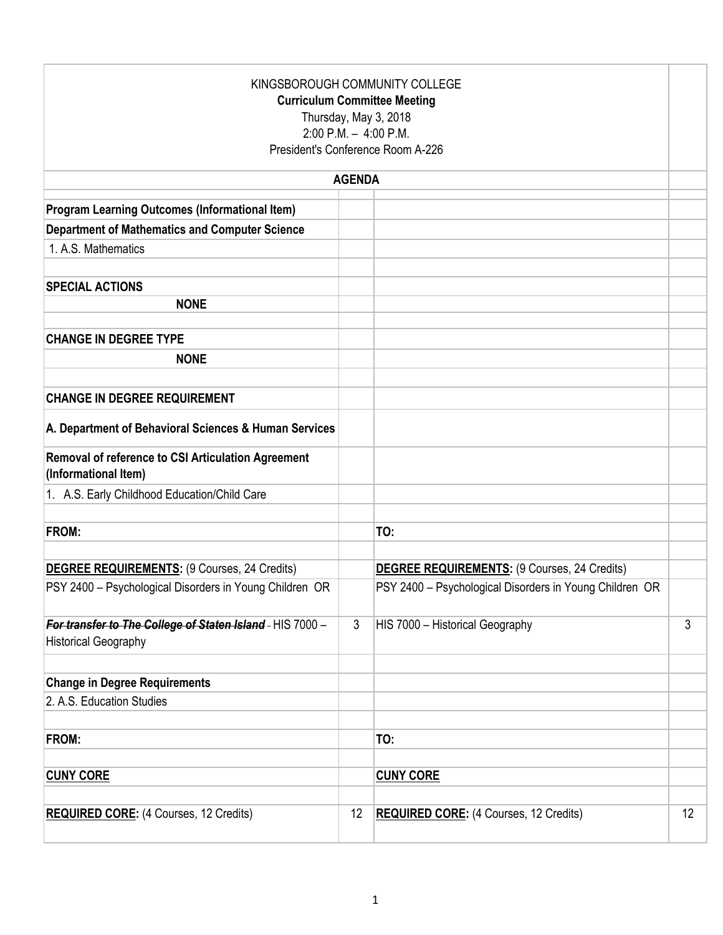| KINGSBOROUGH COMMUNITY COLLEGE<br><b>Curriculum Committee Meeting</b><br>Thursday, May 3, 2018<br>$2:00$ P.M. $-4:00$ P.M.<br>President's Conference Room A-226 |               |                                                         |    |  |  |  |
|-----------------------------------------------------------------------------------------------------------------------------------------------------------------|---------------|---------------------------------------------------------|----|--|--|--|
|                                                                                                                                                                 | <b>AGENDA</b> |                                                         |    |  |  |  |
| <b>Program Learning Outcomes (Informational Item)</b>                                                                                                           |               |                                                         |    |  |  |  |
| <b>Department of Mathematics and Computer Science</b>                                                                                                           |               |                                                         |    |  |  |  |
| 1. A.S. Mathematics                                                                                                                                             |               |                                                         |    |  |  |  |
|                                                                                                                                                                 |               |                                                         |    |  |  |  |
| <b>SPECIAL ACTIONS</b>                                                                                                                                          |               |                                                         |    |  |  |  |
| <b>NONE</b>                                                                                                                                                     |               |                                                         |    |  |  |  |
| <b>CHANGE IN DEGREE TYPE</b>                                                                                                                                    |               |                                                         |    |  |  |  |
| <b>NONE</b>                                                                                                                                                     |               |                                                         |    |  |  |  |
|                                                                                                                                                                 |               |                                                         |    |  |  |  |
| <b>CHANGE IN DEGREE REQUIREMENT</b>                                                                                                                             |               |                                                         |    |  |  |  |
| A. Department of Behavioral Sciences & Human Services                                                                                                           |               |                                                         |    |  |  |  |
| Removal of reference to CSI Articulation Agreement<br>(Informational Item)                                                                                      |               |                                                         |    |  |  |  |
| 1. A.S. Early Childhood Education/Child Care                                                                                                                    |               |                                                         |    |  |  |  |
|                                                                                                                                                                 |               |                                                         |    |  |  |  |
| FROM:                                                                                                                                                           |               | TO:                                                     |    |  |  |  |
| DEGREE REQUIREMENTS: (9 Courses, 24 Credits)                                                                                                                    |               | <b>DEGREE REQUIREMENTS: (9 Courses, 24 Credits)</b>     |    |  |  |  |
| PSY 2400 - Psychological Disorders in Young Children OR                                                                                                         |               | PSY 2400 - Psychological Disorders in Young Children OR |    |  |  |  |
| For transfer to The College of Staten Island - HIS 7000 -<br><b>Historical Geography</b>                                                                        | 3             | HIS 7000 - Historical Geography                         | 3  |  |  |  |
| <b>Change in Degree Requirements</b>                                                                                                                            |               |                                                         |    |  |  |  |
| 2. A.S. Education Studies                                                                                                                                       |               |                                                         |    |  |  |  |
|                                                                                                                                                                 |               |                                                         |    |  |  |  |
| FROM:                                                                                                                                                           |               | TO:                                                     |    |  |  |  |
| <b>CUNY CORE</b>                                                                                                                                                |               | <b>CUNY CORE</b>                                        |    |  |  |  |
|                                                                                                                                                                 |               |                                                         |    |  |  |  |
| <b>REQUIRED CORE:</b> (4 Courses, 12 Credits)                                                                                                                   | 12            | <b>REQUIRED CORE:</b> (4 Courses, 12 Credits)           | 12 |  |  |  |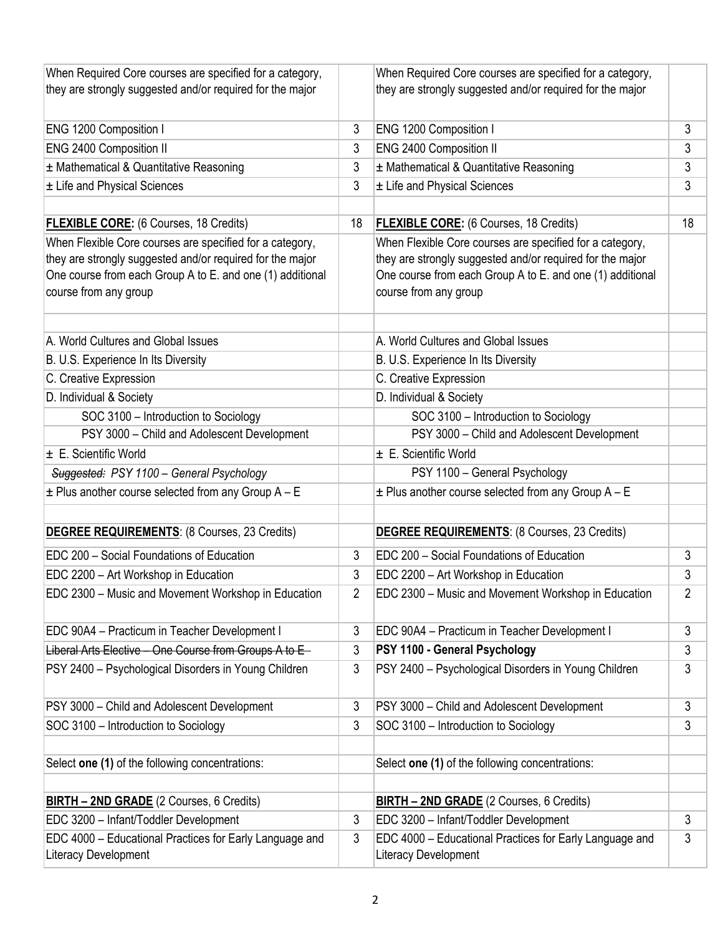| When Required Core courses are specified for a category,<br>they are strongly suggested and/or required for the major                                                                                       |    | When Required Core courses are specified for a category,<br>they are strongly suggested and/or required for the major                                                                                       |    |
|-------------------------------------------------------------------------------------------------------------------------------------------------------------------------------------------------------------|----|-------------------------------------------------------------------------------------------------------------------------------------------------------------------------------------------------------------|----|
|                                                                                                                                                                                                             |    |                                                                                                                                                                                                             |    |
| ENG 1200 Composition I                                                                                                                                                                                      | 3  | ENG 1200 Composition I                                                                                                                                                                                      | 3  |
| ENG 2400 Composition II                                                                                                                                                                                     | 3  | <b>ENG 2400 Composition II</b>                                                                                                                                                                              | 3  |
| ± Mathematical & Quantitative Reasoning                                                                                                                                                                     | 3  | ± Mathematical & Quantitative Reasoning                                                                                                                                                                     | 3  |
| ± Life and Physical Sciences                                                                                                                                                                                | 3  | ± Life and Physical Sciences                                                                                                                                                                                | 3  |
| <b>FLEXIBLE CORE:</b> (6 Courses, 18 Credits)                                                                                                                                                               | 18 | <b>FLEXIBLE CORE:</b> (6 Courses, 18 Credits)                                                                                                                                                               | 18 |
| When Flexible Core courses are specified for a category,<br>they are strongly suggested and/or required for the major<br>One course from each Group A to E. and one (1) additional<br>course from any group |    | When Flexible Core courses are specified for a category,<br>they are strongly suggested and/or required for the major<br>One course from each Group A to E. and one (1) additional<br>course from any group |    |
| A. World Cultures and Global Issues                                                                                                                                                                         |    | A. World Cultures and Global Issues                                                                                                                                                                         |    |
| B. U.S. Experience In Its Diversity                                                                                                                                                                         |    | B. U.S. Experience In Its Diversity                                                                                                                                                                         |    |
| C. Creative Expression                                                                                                                                                                                      |    | C. Creative Expression                                                                                                                                                                                      |    |
| D. Individual & Society                                                                                                                                                                                     |    | D. Individual & Society                                                                                                                                                                                     |    |
| SOC 3100 - Introduction to Sociology                                                                                                                                                                        |    | SOC 3100 - Introduction to Sociology                                                                                                                                                                        |    |
| PSY 3000 - Child and Adolescent Development                                                                                                                                                                 |    | PSY 3000 - Child and Adolescent Development                                                                                                                                                                 |    |
| $\pm$ E. Scientific World                                                                                                                                                                                   |    | $\pm$ E. Scientific World                                                                                                                                                                                   |    |
| Suggested: PSY 1100 - General Psychology                                                                                                                                                                    |    | PSY 1100 - General Psychology                                                                                                                                                                               |    |
| $\pm$ Plus another course selected from any Group A - E                                                                                                                                                     |    | $\pm$ Plus another course selected from any Group A - E                                                                                                                                                     |    |
| <b>DEGREE REQUIREMENTS: (8 Courses, 23 Credits)</b>                                                                                                                                                         |    | <b>DEGREE REQUIREMENTS: (8 Courses, 23 Credits)</b>                                                                                                                                                         |    |
| EDC 200 - Social Foundations of Education                                                                                                                                                                   | 3  | EDC 200 - Social Foundations of Education                                                                                                                                                                   | 3  |
| EDC 2200 - Art Workshop in Education                                                                                                                                                                        | 3  | EDC 2200 - Art Workshop in Education                                                                                                                                                                        | 3  |
| EDC 2300 – Music and Movement Workshop in Education                                                                                                                                                         | 2  | EDC 2300 – Music and Movement Workshop in Education                                                                                                                                                         | 2  |
| EDC 90A4 - Practicum in Teacher Development I                                                                                                                                                               | 3  | EDC 90A4 - Practicum in Teacher Development I                                                                                                                                                               | 3  |
| Liberal Arts Elective - One Course from Groups A to E-                                                                                                                                                      | 3  | PSY 1100 - General Psychology                                                                                                                                                                               | 3  |
| PSY 2400 - Psychological Disorders in Young Children                                                                                                                                                        | 3  | PSY 2400 - Psychological Disorders in Young Children                                                                                                                                                        | 3  |
| PSY 3000 - Child and Adolescent Development                                                                                                                                                                 | 3  | PSY 3000 - Child and Adolescent Development                                                                                                                                                                 | 3  |
| SOC 3100 - Introduction to Sociology                                                                                                                                                                        | 3  | SOC 3100 - Introduction to Sociology                                                                                                                                                                        | 3  |
| Select one (1) of the following concentrations:                                                                                                                                                             |    | Select one (1) of the following concentrations:                                                                                                                                                             |    |
| <b>BIRTH - 2ND GRADE</b> (2 Courses, 6 Credits)                                                                                                                                                             |    | <b>BIRTH - 2ND GRADE</b> (2 Courses, 6 Credits)                                                                                                                                                             |    |
| EDC 3200 - Infant/Toddler Development                                                                                                                                                                       | 3  | EDC 3200 - Infant/Toddler Development                                                                                                                                                                       | 3  |
| EDC 4000 - Educational Practices for Early Language and<br>Literacy Development                                                                                                                             | 3  | EDC 4000 - Educational Practices for Early Language and<br>Literacy Development                                                                                                                             | 3  |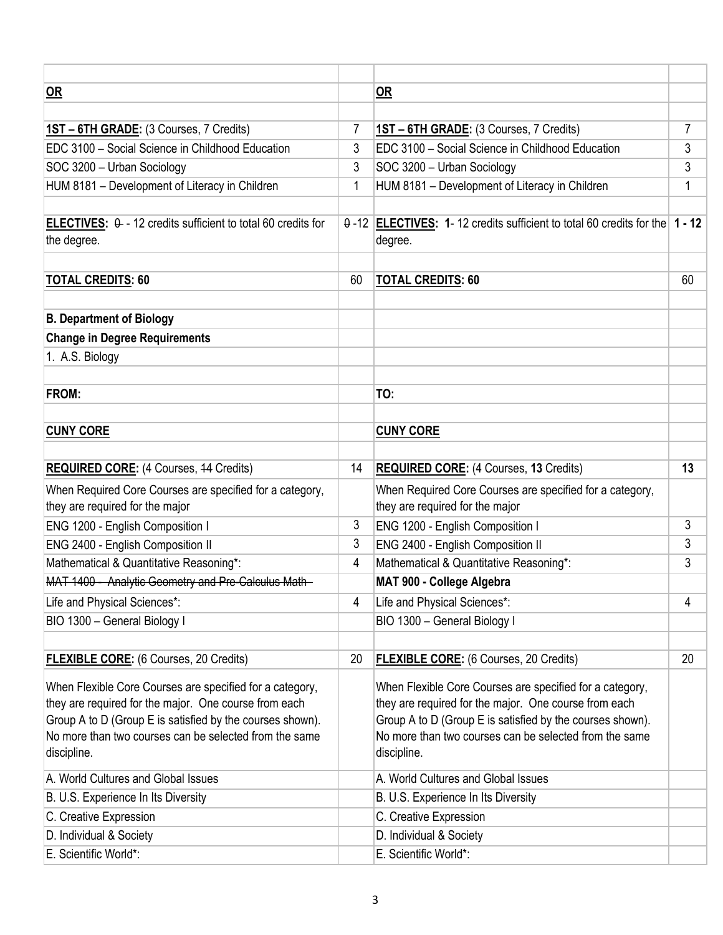| <u>OR</u>                                                                                                                                                                                                                                               |    | OR                                                                                                                                                                                                                                                      |    |
|---------------------------------------------------------------------------------------------------------------------------------------------------------------------------------------------------------------------------------------------------------|----|---------------------------------------------------------------------------------------------------------------------------------------------------------------------------------------------------------------------------------------------------------|----|
|                                                                                                                                                                                                                                                         |    |                                                                                                                                                                                                                                                         |    |
| 1ST - 6TH GRADE: (3 Courses, 7 Credits)                                                                                                                                                                                                                 | 7  | 1ST - 6TH GRADE: (3 Courses, 7 Credits)                                                                                                                                                                                                                 | 7  |
| EDC 3100 - Social Science in Childhood Education                                                                                                                                                                                                        | 3  | EDC 3100 - Social Science in Childhood Education                                                                                                                                                                                                        | 3  |
| SOC 3200 - Urban Sociology                                                                                                                                                                                                                              | 3  | SOC 3200 - Urban Sociology                                                                                                                                                                                                                              | 3  |
| HUM 8181 - Development of Literacy in Children                                                                                                                                                                                                          | 1  | HUM 8181 - Development of Literacy in Children                                                                                                                                                                                                          | 1  |
|                                                                                                                                                                                                                                                         |    |                                                                                                                                                                                                                                                         |    |
| ELECTIVES: $\theta$ - 12 credits sufficient to total 60 credits for<br>the degree.                                                                                                                                                                      |    | 0-12 ELECTIVES: 1-12 credits sufficient to total 60 credits for the 1 - 12<br>degree.                                                                                                                                                                   |    |
| <b>TOTAL CREDITS: 60</b>                                                                                                                                                                                                                                | 60 | <b>TOTAL CREDITS: 60</b>                                                                                                                                                                                                                                | 60 |
|                                                                                                                                                                                                                                                         |    |                                                                                                                                                                                                                                                         |    |
| <b>B. Department of Biology</b>                                                                                                                                                                                                                         |    |                                                                                                                                                                                                                                                         |    |
| <b>Change in Degree Requirements</b>                                                                                                                                                                                                                    |    |                                                                                                                                                                                                                                                         |    |
| 1. A.S. Biology                                                                                                                                                                                                                                         |    |                                                                                                                                                                                                                                                         |    |
|                                                                                                                                                                                                                                                         |    |                                                                                                                                                                                                                                                         |    |
| <b>FROM:</b>                                                                                                                                                                                                                                            |    | TO:                                                                                                                                                                                                                                                     |    |
|                                                                                                                                                                                                                                                         |    |                                                                                                                                                                                                                                                         |    |
| <b>CUNY CORE</b>                                                                                                                                                                                                                                        |    | <b>CUNY CORE</b>                                                                                                                                                                                                                                        |    |
|                                                                                                                                                                                                                                                         |    |                                                                                                                                                                                                                                                         |    |
| <b>REQUIRED CORE:</b> (4 Courses, 44 Credits)                                                                                                                                                                                                           | 14 | <b>REQUIRED CORE:</b> (4 Courses, 13 Credits)                                                                                                                                                                                                           | 13 |
| When Required Core Courses are specified for a category,                                                                                                                                                                                                |    | When Required Core Courses are specified for a category,                                                                                                                                                                                                |    |
| they are required for the major                                                                                                                                                                                                                         |    | they are required for the major                                                                                                                                                                                                                         |    |
| ENG 1200 - English Composition I                                                                                                                                                                                                                        | 3  | ENG 1200 - English Composition I                                                                                                                                                                                                                        | 3  |
| ENG 2400 - English Composition II                                                                                                                                                                                                                       | 3  | ENG 2400 - English Composition II                                                                                                                                                                                                                       | 3  |
| Mathematical & Quantitative Reasoning*:                                                                                                                                                                                                                 | 4  | Mathematical & Quantitative Reasoning*:                                                                                                                                                                                                                 | 3  |
| MAT 1400 - Analytic Geometry and Pre-Calculus Math-                                                                                                                                                                                                     |    | MAT 900 - College Algebra                                                                                                                                                                                                                               |    |
| Life and Physical Sciences*:                                                                                                                                                                                                                            | 4  | Life and Physical Sciences*:                                                                                                                                                                                                                            | 4  |
| BIO 1300 - General Biology I                                                                                                                                                                                                                            |    | BIO 1300 - General Biology I                                                                                                                                                                                                                            |    |
|                                                                                                                                                                                                                                                         |    |                                                                                                                                                                                                                                                         |    |
| <b>FLEXIBLE CORE:</b> (6 Courses, 20 Credits)                                                                                                                                                                                                           | 20 | <b>FLEXIBLE CORE:</b> (6 Courses, 20 Credits)                                                                                                                                                                                                           | 20 |
| When Flexible Core Courses are specified for a category,<br>they are required for the major. One course from each<br>Group A to D (Group E is satisfied by the courses shown).<br>No more than two courses can be selected from the same<br>discipline. |    | When Flexible Core Courses are specified for a category,<br>they are required for the major. One course from each<br>Group A to D (Group E is satisfied by the courses shown).<br>No more than two courses can be selected from the same<br>discipline. |    |
| A. World Cultures and Global Issues                                                                                                                                                                                                                     |    | A. World Cultures and Global Issues                                                                                                                                                                                                                     |    |
| B. U.S. Experience In Its Diversity                                                                                                                                                                                                                     |    | B. U.S. Experience In Its Diversity                                                                                                                                                                                                                     |    |
| C. Creative Expression                                                                                                                                                                                                                                  |    | C. Creative Expression                                                                                                                                                                                                                                  |    |
| D. Individual & Society                                                                                                                                                                                                                                 |    | D. Individual & Society                                                                                                                                                                                                                                 |    |
| E. Scientific World*:                                                                                                                                                                                                                                   |    | E. Scientific World*:                                                                                                                                                                                                                                   |    |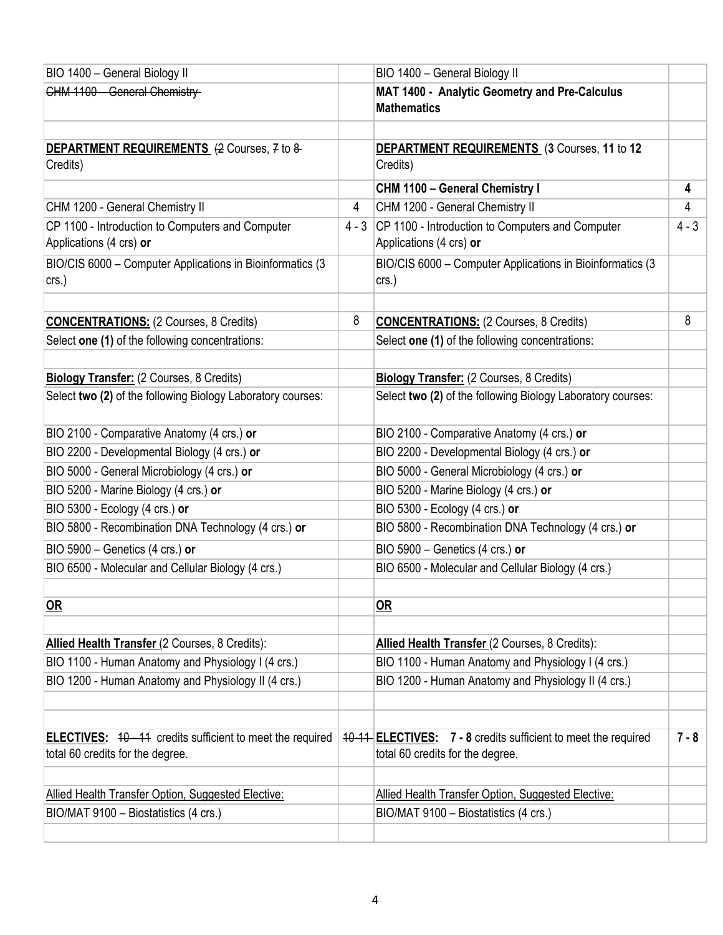| BIO 1400 - General Biology II                                                                       |         | BIO 1400 - General Biology II                                                                      |         |
|-----------------------------------------------------------------------------------------------------|---------|----------------------------------------------------------------------------------------------------|---------|
| CHM 1100 - General Chemistry                                                                        |         | MAT 1400 - Analytic Geometry and Pre-Calculus<br><b>Mathematics</b>                                |         |
| DEPARTMENT REQUIREMENTS (2 Courses, 7 to 8-<br>Credits)                                             |         | DEPARTMENT REQUIREMENTS (3 Courses, 11 to 12<br>Credits)                                           |         |
|                                                                                                     |         | CHM 1100 - General Chemistry I                                                                     | 4       |
| CHM 1200 - General Chemistry II                                                                     | 4       | CHM 1200 - General Chemistry II                                                                    | 4       |
| CP 1100 - Introduction to Computers and Computer<br>Applications (4 crs) or                         | $4 - 3$ | CP 1100 - Introduction to Computers and Computer<br>Applications (4 crs) or                        | $4 - 3$ |
| BIO/CIS 6000 - Computer Applications in Bioinformatics (3<br>$crs.$ )                               |         | BIO/CIS 6000 - Computer Applications in Bioinformatics (3<br>crs.)                                 |         |
| <b>CONCENTRATIONS:</b> (2 Courses, 8 Credits)                                                       | 8       | <b>CONCENTRATIONS: (2 Courses, 8 Credits)</b>                                                      | 8       |
| Select one (1) of the following concentrations:                                                     |         | Select one (1) of the following concentrations:                                                    |         |
| Biology Transfer: (2 Courses, 8 Credits)                                                            |         | <b>Biology Transfer:</b> (2 Courses, 8 Credits)                                                    |         |
| Select two (2) of the following Biology Laboratory courses:                                         |         | Select two (2) of the following Biology Laboratory courses:                                        |         |
| BIO 2100 - Comparative Anatomy (4 crs.) or                                                          |         | BIO 2100 - Comparative Anatomy (4 crs.) or                                                         |         |
| BIO 2200 - Developmental Biology (4 crs.) or                                                        |         | BIO 2200 - Developmental Biology (4 crs.) or                                                       |         |
| BIO 5000 - General Microbiology (4 crs.) or                                                         |         | BIO 5000 - General Microbiology (4 crs.) or                                                        |         |
| BIO 5200 - Marine Biology (4 crs.) or                                                               |         | BIO 5200 - Marine Biology (4 crs.) or                                                              |         |
| BIO 5300 - Ecology (4 crs.) or                                                                      |         | BIO 5300 - Ecology (4 crs.) or                                                                     |         |
| BIO 5800 - Recombination DNA Technology (4 crs.) or                                                 |         | BIO 5800 - Recombination DNA Technology (4 crs.) or                                                |         |
| BIO 5900 - Genetics (4 crs.) or                                                                     |         | BIO 5900 - Genetics (4 crs.) or                                                                    |         |
| BIO 6500 - Molecular and Cellular Biology (4 crs.)                                                  |         | BIO 6500 - Molecular and Cellular Biology (4 crs.)                                                 |         |
| $OR$                                                                                                |         | $OR$                                                                                               |         |
| Allied Health Transfer (2 Courses, 8 Credits):                                                      |         | Allied Health Transfer (2 Courses, 8 Credits):                                                     |         |
| BIO 1100 - Human Anatomy and Physiology I (4 crs.)                                                  |         | BIO 1100 - Human Anatomy and Physiology I (4 crs.)                                                 |         |
| BIO 1200 - Human Anatomy and Physiology II (4 crs.)                                                 |         | BIO 1200 - Human Anatomy and Physiology II (4 crs.)                                                |         |
|                                                                                                     |         |                                                                                                    | $7 - 8$ |
| <b>ELECTIVES:</b> 40-44 credits sufficient to meet the required<br>total 60 credits for the degree. |         | 40-14 ELECTIVES: 7 - 8 credits sufficient to meet the required<br>total 60 credits for the degree. |         |
|                                                                                                     |         |                                                                                                    |         |
| Allied Health Transfer Option, Suggested Elective:                                                  |         | Allied Health Transfer Option, Suggested Elective:                                                 |         |
| BIO/MAT 9100 - Biostatistics (4 crs.)                                                               |         | BIO/MAT 9100 - Biostatistics (4 crs.)                                                              |         |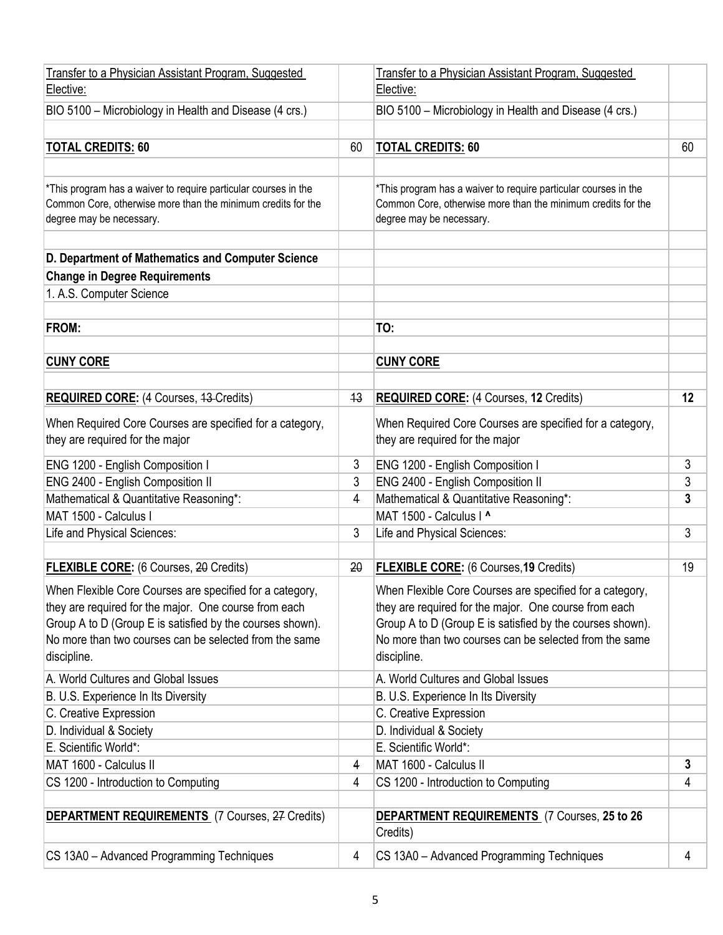| Transfer to a Physician Assistant Program, Suggested<br>Elective:                                                                                                                                                                                       |    | Transfer to a Physician Assistant Program, Suggested<br>Elective:                                                                                                                                                                                       |    |
|---------------------------------------------------------------------------------------------------------------------------------------------------------------------------------------------------------------------------------------------------------|----|---------------------------------------------------------------------------------------------------------------------------------------------------------------------------------------------------------------------------------------------------------|----|
| BIO 5100 - Microbiology in Health and Disease (4 crs.)                                                                                                                                                                                                  |    | BIO 5100 - Microbiology in Health and Disease (4 crs.)                                                                                                                                                                                                  |    |
|                                                                                                                                                                                                                                                         |    |                                                                                                                                                                                                                                                         |    |
| <b>TOTAL CREDITS: 60</b>                                                                                                                                                                                                                                | 60 | <b>TOTAL CREDITS: 60</b>                                                                                                                                                                                                                                | 60 |
|                                                                                                                                                                                                                                                         |    |                                                                                                                                                                                                                                                         |    |
| *This program has a waiver to require particular courses in the<br>Common Core, otherwise more than the minimum credits for the<br>degree may be necessary.                                                                                             |    | *This program has a waiver to require particular courses in the<br>Common Core, otherwise more than the minimum credits for the<br>degree may be necessary.                                                                                             |    |
| D. Department of Mathematics and Computer Science                                                                                                                                                                                                       |    |                                                                                                                                                                                                                                                         |    |
| <b>Change in Degree Requirements</b>                                                                                                                                                                                                                    |    |                                                                                                                                                                                                                                                         |    |
| 1. A.S. Computer Science                                                                                                                                                                                                                                |    |                                                                                                                                                                                                                                                         |    |
|                                                                                                                                                                                                                                                         |    |                                                                                                                                                                                                                                                         |    |
| FROM:                                                                                                                                                                                                                                                   |    | TO:                                                                                                                                                                                                                                                     |    |
|                                                                                                                                                                                                                                                         |    |                                                                                                                                                                                                                                                         |    |
| <b>CUNY CORE</b>                                                                                                                                                                                                                                        |    | <b>CUNY CORE</b>                                                                                                                                                                                                                                        |    |
|                                                                                                                                                                                                                                                         |    |                                                                                                                                                                                                                                                         |    |
| <b>REQUIRED CORE:</b> (4 Courses, 43-Credits)                                                                                                                                                                                                           | 43 | <b>REQUIRED CORE:</b> (4 Courses, 12 Credits)                                                                                                                                                                                                           | 12 |
| When Required Core Courses are specified for a category,<br>they are required for the major                                                                                                                                                             |    | When Required Core Courses are specified for a category,<br>they are required for the major                                                                                                                                                             |    |
| ENG 1200 - English Composition I                                                                                                                                                                                                                        | 3  | ENG 1200 - English Composition I                                                                                                                                                                                                                        | 3  |
| ENG 2400 - English Composition II                                                                                                                                                                                                                       | 3  | ENG 2400 - English Composition II                                                                                                                                                                                                                       | 3  |
| Mathematical & Quantitative Reasoning*:                                                                                                                                                                                                                 | 4  | Mathematical & Quantitative Reasoning*:                                                                                                                                                                                                                 | 3  |
| MAT 1500 - Calculus I                                                                                                                                                                                                                                   |    | MAT 1500 - Calculus I ^                                                                                                                                                                                                                                 |    |
| Life and Physical Sciences:                                                                                                                                                                                                                             | 3  | Life and Physical Sciences:                                                                                                                                                                                                                             | 3  |
|                                                                                                                                                                                                                                                         |    |                                                                                                                                                                                                                                                         |    |
| <b>FLEXIBLE CORE:</b> (6 Courses, 20 Credits)                                                                                                                                                                                                           | 20 | <b>FLEXIBLE CORE:</b> (6 Courses, 19 Credits)                                                                                                                                                                                                           | 19 |
| When Flexible Core Courses are specified for a category,<br>they are required for the major. One course from each<br>Group A to D (Group E is satisfied by the courses shown).<br>No more than two courses can be selected from the same<br>discipline. |    | When Flexible Core Courses are specified for a category,<br>they are required for the major. One course from each<br>Group A to D (Group E is satisfied by the courses shown).<br>No more than two courses can be selected from the same<br>discipline. |    |
| A. World Cultures and Global Issues                                                                                                                                                                                                                     |    | A. World Cultures and Global Issues                                                                                                                                                                                                                     |    |
| B. U.S. Experience In Its Diversity                                                                                                                                                                                                                     |    | B. U.S. Experience In Its Diversity                                                                                                                                                                                                                     |    |
| C. Creative Expression                                                                                                                                                                                                                                  |    | C. Creative Expression                                                                                                                                                                                                                                  |    |
| D. Individual & Society                                                                                                                                                                                                                                 |    | D. Individual & Society                                                                                                                                                                                                                                 |    |
| E. Scientific World*:                                                                                                                                                                                                                                   |    | E. Scientific World*:                                                                                                                                                                                                                                   |    |
| MAT 1600 - Calculus II                                                                                                                                                                                                                                  | 4  | MAT 1600 - Calculus II                                                                                                                                                                                                                                  | 3  |
| CS 1200 - Introduction to Computing                                                                                                                                                                                                                     | 4  | CS 1200 - Introduction to Computing                                                                                                                                                                                                                     | 4  |
| <b>DEPARTMENT REQUIREMENTS</b> (7 Courses, 27 Credits)                                                                                                                                                                                                  |    | <b>DEPARTMENT REQUIREMENTS</b> (7 Courses, 25 to 26<br>Credits)                                                                                                                                                                                         |    |
| CS 13A0 - Advanced Programming Techniques                                                                                                                                                                                                               | 4  | CS 13A0 - Advanced Programming Techniques                                                                                                                                                                                                               | 4  |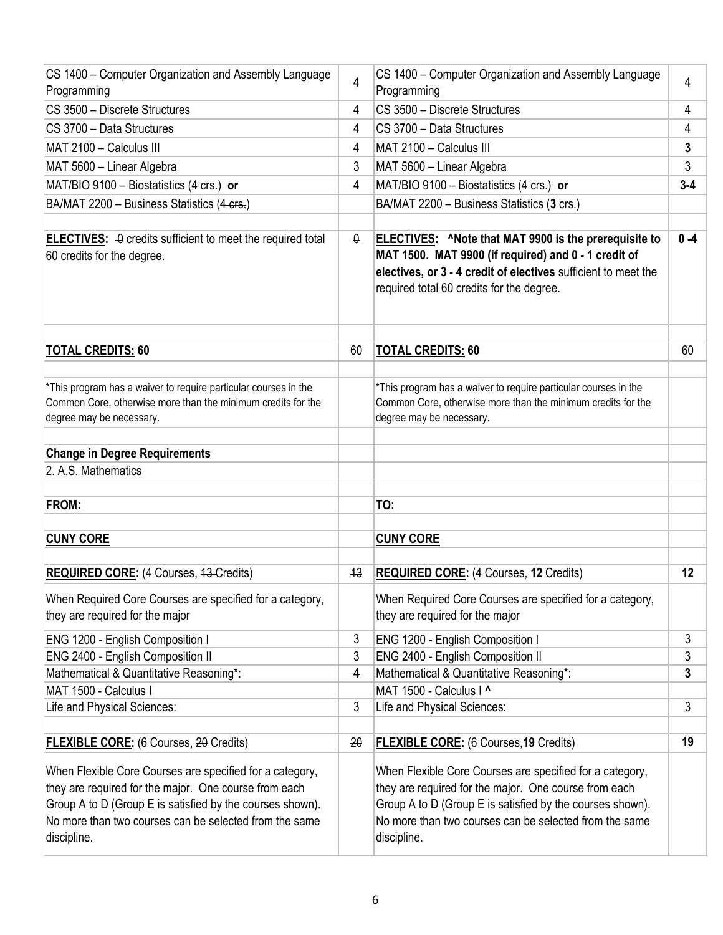| CS 1400 - Computer Organization and Assembly Language<br>Programming                                                                                                                                                                                    | $\overline{4}$ | CS 1400 - Computer Organization and Assembly Language<br>Programming                                                                                                                                                                                    | 4              |
|---------------------------------------------------------------------------------------------------------------------------------------------------------------------------------------------------------------------------------------------------------|----------------|---------------------------------------------------------------------------------------------------------------------------------------------------------------------------------------------------------------------------------------------------------|----------------|
| CS 3500 - Discrete Structures                                                                                                                                                                                                                           | 4              | CS 3500 - Discrete Structures                                                                                                                                                                                                                           | 4              |
| CS 3700 - Data Structures                                                                                                                                                                                                                               | 4              | CS 3700 - Data Structures                                                                                                                                                                                                                               | 4              |
| MAT 2100 - Calculus III                                                                                                                                                                                                                                 | 4              | MAT 2100 - Calculus III                                                                                                                                                                                                                                 | 3              |
| MAT 5600 - Linear Algebra                                                                                                                                                                                                                               | 3              | MAT 5600 - Linear Algebra                                                                                                                                                                                                                               | 3              |
| MAT/BIO 9100 - Biostatistics (4 crs.) or                                                                                                                                                                                                                | 4              | MAT/BIO 9100 - Biostatistics (4 crs.) or                                                                                                                                                                                                                | $3 - 4$        |
| BA/MAT 2200 - Business Statistics (4 crs.)                                                                                                                                                                                                              |                | BA/MAT 2200 - Business Statistics (3 crs.)                                                                                                                                                                                                              |                |
|                                                                                                                                                                                                                                                         |                |                                                                                                                                                                                                                                                         |                |
| <b>ELECTIVES:</b> $\theta$ credits sufficient to meet the required total<br>60 credits for the degree.                                                                                                                                                  | $\theta$       | <b>ELECTIVES:</b> ^Note that MAT 9900 is the prerequisite to<br>MAT 1500. MAT 9900 (if required) and 0 - 1 credit of<br>electives, or 3 - 4 credit of electives sufficient to meet the<br>required total 60 credits for the degree.                     | $0 - 4$        |
| <b>TOTAL CREDITS: 60</b>                                                                                                                                                                                                                                | 60             | <b>TOTAL CREDITS: 60</b>                                                                                                                                                                                                                                | 60             |
| *This program has a waiver to require particular courses in the<br>Common Core, otherwise more than the minimum credits for the<br>degree may be necessary.                                                                                             |                | *This program has a waiver to require particular courses in the<br>Common Core, otherwise more than the minimum credits for the<br>degree may be necessary.                                                                                             |                |
| <b>Change in Degree Requirements</b>                                                                                                                                                                                                                    |                |                                                                                                                                                                                                                                                         |                |
| 2. A.S. Mathematics                                                                                                                                                                                                                                     |                |                                                                                                                                                                                                                                                         |                |
|                                                                                                                                                                                                                                                         |                |                                                                                                                                                                                                                                                         |                |
| <b>FROM:</b>                                                                                                                                                                                                                                            |                | TO:                                                                                                                                                                                                                                                     |                |
|                                                                                                                                                                                                                                                         |                |                                                                                                                                                                                                                                                         |                |
| <b>CUNY CORE</b>                                                                                                                                                                                                                                        |                | <b>CUNY CORE</b>                                                                                                                                                                                                                                        |                |
| <b>REQUIRED CORE: (4 Courses, 43-Credits)</b>                                                                                                                                                                                                           | 43             | <b>REQUIRED CORE:</b> (4 Courses, 12 Credits)                                                                                                                                                                                                           | 12             |
| When Required Core Courses are specified for a category,<br>they are required for the major                                                                                                                                                             |                | When Required Core Courses are specified for a category,<br>they are required for the major                                                                                                                                                             |                |
| ENG 1200 - English Composition I                                                                                                                                                                                                                        | 3              | ENG 1200 - English Composition I                                                                                                                                                                                                                        | 3              |
| ENG 2400 - English Composition II                                                                                                                                                                                                                       | 3              | ENG 2400 - English Composition II                                                                                                                                                                                                                       | 3              |
| Mathematical & Quantitative Reasoning*:                                                                                                                                                                                                                 | 4              | Mathematical & Quantitative Reasoning*:                                                                                                                                                                                                                 | 3              |
| MAT 1500 - Calculus I                                                                                                                                                                                                                                   |                | MAT 1500 - Calculus   ^                                                                                                                                                                                                                                 |                |
| Life and Physical Sciences:                                                                                                                                                                                                                             | 3              | Life and Physical Sciences:                                                                                                                                                                                                                             | $\mathfrak{Z}$ |
| <b>FLEXIBLE CORE:</b> (6 Courses, 20 Credits)                                                                                                                                                                                                           | 20             | <b>FLEXIBLE CORE:</b> (6 Courses, 19 Credits)                                                                                                                                                                                                           | 19             |
| When Flexible Core Courses are specified for a category,<br>they are required for the major. One course from each<br>Group A to D (Group E is satisfied by the courses shown).<br>No more than two courses can be selected from the same<br>discipline. |                | When Flexible Core Courses are specified for a category,<br>they are required for the major. One course from each<br>Group A to D (Group E is satisfied by the courses shown).<br>No more than two courses can be selected from the same<br>discipline. |                |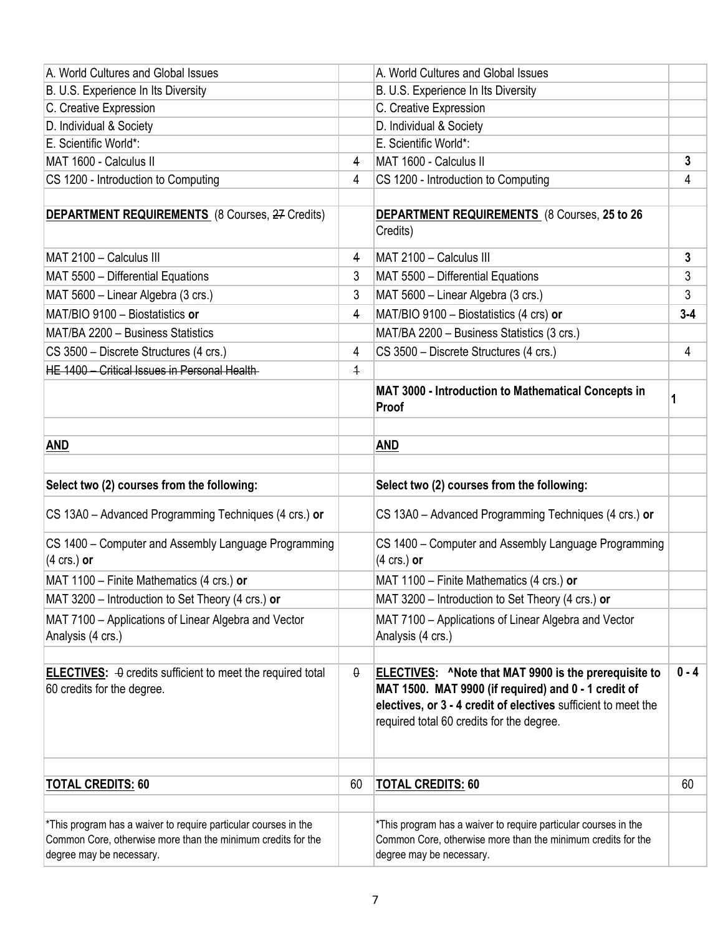| A. World Cultures and Global Issues                                                                    |                | A. World Cultures and Global Issues                                                                                                                                                                                                 |         |
|--------------------------------------------------------------------------------------------------------|----------------|-------------------------------------------------------------------------------------------------------------------------------------------------------------------------------------------------------------------------------------|---------|
| B. U.S. Experience In Its Diversity                                                                    |                | B. U.S. Experience In Its Diversity                                                                                                                                                                                                 |         |
| C. Creative Expression                                                                                 |                | C. Creative Expression                                                                                                                                                                                                              |         |
| D. Individual & Society                                                                                |                | D. Individual & Society                                                                                                                                                                                                             |         |
| E. Scientific World*:                                                                                  |                | E. Scientific World*:                                                                                                                                                                                                               |         |
| MAT 1600 - Calculus II                                                                                 | 4              | MAT 1600 - Calculus II                                                                                                                                                                                                              | 3       |
| CS 1200 - Introduction to Computing                                                                    | 4              | CS 1200 - Introduction to Computing                                                                                                                                                                                                 | 4       |
| <b>DEPARTMENT REQUIREMENTS</b> (8 Courses, 27 Credits)                                                 |                | <b>DEPARTMENT REQUIREMENTS</b> (8 Courses, 25 to 26<br>Credits)                                                                                                                                                                     |         |
| MAT 2100 - Calculus III                                                                                | 4              | MAT 2100 - Calculus III                                                                                                                                                                                                             | 3       |
| MAT 5500 - Differential Equations                                                                      | 3              | MAT 5500 - Differential Equations                                                                                                                                                                                                   | 3       |
| MAT 5600 - Linear Algebra (3 crs.)                                                                     | 3              | MAT 5600 - Linear Algebra (3 crs.)                                                                                                                                                                                                  | 3       |
| MAT/BIO 9100 - Biostatistics or                                                                        | 4              | MAT/BIO 9100 - Biostatistics (4 crs) or                                                                                                                                                                                             | $3 - 4$ |
| MAT/BA 2200 - Business Statistics                                                                      |                | MAT/BA 2200 - Business Statistics (3 crs.)                                                                                                                                                                                          |         |
| CS 3500 - Discrete Structures (4 crs.)                                                                 | 4              | CS 3500 - Discrete Structures (4 crs.)                                                                                                                                                                                              | 4       |
| HE 1400 - Critical Issues in Personal Health-                                                          | $\overline{+}$ |                                                                                                                                                                                                                                     |         |
|                                                                                                        |                | MAT 3000 - Introduction to Mathematical Concepts in<br>Proof                                                                                                                                                                        | 1       |
|                                                                                                        |                |                                                                                                                                                                                                                                     |         |
| <b>AND</b>                                                                                             |                | AND                                                                                                                                                                                                                                 |         |
| Select two (2) courses from the following:                                                             |                | Select two (2) courses from the following:                                                                                                                                                                                          |         |
| CS 13A0 - Advanced Programming Techniques (4 crs.) or                                                  |                | CS 13A0 - Advanced Programming Techniques (4 crs.) or                                                                                                                                                                               |         |
| CS 1400 - Computer and Assembly Language Programming<br>$(4 \text{ crs.})$ or                          |                | CS 1400 - Computer and Assembly Language Programming<br>$(4 \text{ crs.})$ or                                                                                                                                                       |         |
| MAT 1100 - Finite Mathematics (4 crs.) or                                                              |                | MAT 1100 - Finite Mathematics (4 crs.) or                                                                                                                                                                                           |         |
| MAT 3200 - Introduction to Set Theory (4 crs.) or                                                      |                | MAT 3200 - Introduction to Set Theory (4 crs.) or                                                                                                                                                                                   |         |
| MAT 7100 - Applications of Linear Algebra and Vector<br>Analysis (4 crs.)                              |                | MAT 7100 - Applications of Linear Algebra and Vector<br>Analysis (4 crs.)                                                                                                                                                           |         |
| <b>ELECTIVES:</b> $\theta$ credits sufficient to meet the required total<br>60 credits for the degree. | θ              | <b>ELECTIVES:</b> ^Note that MAT 9900 is the prerequisite to<br>MAT 1500. MAT 9900 (if required) and 0 - 1 credit of<br>electives, or 3 - 4 credit of electives sufficient to meet the<br>required total 60 credits for the degree. | $0 - 4$ |
| <b>TOTAL CREDITS: 60</b>                                                                               | 60             | <b>TOTAL CREDITS: 60</b>                                                                                                                                                                                                            | 60      |
|                                                                                                        |                |                                                                                                                                                                                                                                     |         |
| *This program has a waiver to require particular courses in the                                        |                |                                                                                                                                                                                                                                     |         |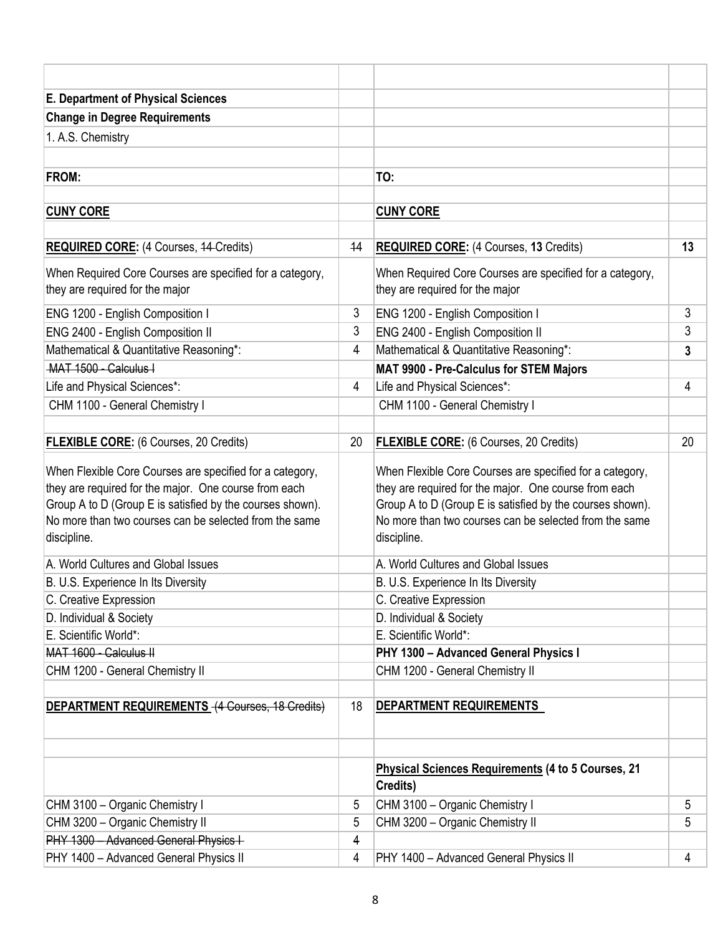| <b>E. Department of Physical Sciences</b>                                                                                                                                                                                                               |    |                                                                                                                                                                                                                                                         |    |
|---------------------------------------------------------------------------------------------------------------------------------------------------------------------------------------------------------------------------------------------------------|----|---------------------------------------------------------------------------------------------------------------------------------------------------------------------------------------------------------------------------------------------------------|----|
| <b>Change in Degree Requirements</b>                                                                                                                                                                                                                    |    |                                                                                                                                                                                                                                                         |    |
| 1. A.S. Chemistry                                                                                                                                                                                                                                       |    |                                                                                                                                                                                                                                                         |    |
|                                                                                                                                                                                                                                                         |    |                                                                                                                                                                                                                                                         |    |
| FROM:                                                                                                                                                                                                                                                   |    | TO:                                                                                                                                                                                                                                                     |    |
|                                                                                                                                                                                                                                                         |    |                                                                                                                                                                                                                                                         |    |
| <b>CUNY CORE</b>                                                                                                                                                                                                                                        |    | <b>CUNY CORE</b>                                                                                                                                                                                                                                        |    |
|                                                                                                                                                                                                                                                         |    |                                                                                                                                                                                                                                                         |    |
| <b>REQUIRED CORE:</b> (4 Courses, 44-Credits)                                                                                                                                                                                                           | 44 | <b>REQUIRED CORE:</b> (4 Courses, 13 Credits)                                                                                                                                                                                                           | 13 |
| When Required Core Courses are specified for a category,<br>they are required for the major                                                                                                                                                             |    | When Required Core Courses are specified for a category,<br>they are required for the major                                                                                                                                                             |    |
| ENG 1200 - English Composition I                                                                                                                                                                                                                        | 3  | ENG 1200 - English Composition I                                                                                                                                                                                                                        | 3  |
| ENG 2400 - English Composition II                                                                                                                                                                                                                       | 3  | ENG 2400 - English Composition II                                                                                                                                                                                                                       | 3  |
| Mathematical & Quantitative Reasoning*:                                                                                                                                                                                                                 | 4  | Mathematical & Quantitative Reasoning*:                                                                                                                                                                                                                 | 3  |
| MAT 1500 - Calculus I                                                                                                                                                                                                                                   |    | MAT 9900 - Pre-Calculus for STEM Majors                                                                                                                                                                                                                 |    |
| Life and Physical Sciences*:                                                                                                                                                                                                                            | 4  | Life and Physical Sciences*:                                                                                                                                                                                                                            | 4  |
| CHM 1100 - General Chemistry I                                                                                                                                                                                                                          |    | CHM 1100 - General Chemistry I                                                                                                                                                                                                                          |    |
|                                                                                                                                                                                                                                                         |    |                                                                                                                                                                                                                                                         |    |
| <b>FLEXIBLE CORE:</b> (6 Courses, 20 Credits)                                                                                                                                                                                                           | 20 | <b>FLEXIBLE CORE:</b> (6 Courses, 20 Credits)                                                                                                                                                                                                           | 20 |
| When Flexible Core Courses are specified for a category,<br>they are required for the major. One course from each<br>Group A to D (Group E is satisfied by the courses shown).<br>No more than two courses can be selected from the same<br>discipline. |    | When Flexible Core Courses are specified for a category,<br>they are required for the major. One course from each<br>Group A to D (Group E is satisfied by the courses shown).<br>No more than two courses can be selected from the same<br>discipline. |    |
| A. World Cultures and Global Issues                                                                                                                                                                                                                     |    | A. World Cultures and Global Issues                                                                                                                                                                                                                     |    |
| B. U.S. Experience In Its Diversity                                                                                                                                                                                                                     |    | B. U.S. Experience In Its Diversity                                                                                                                                                                                                                     |    |
| C. Creative Expression                                                                                                                                                                                                                                  |    | C. Creative Expression                                                                                                                                                                                                                                  |    |
| D. Individual & Society                                                                                                                                                                                                                                 |    | D. Individual & Society                                                                                                                                                                                                                                 |    |
| E. Scientific World*:                                                                                                                                                                                                                                   |    | E. Scientific World*:                                                                                                                                                                                                                                   |    |
| MAT 1600 - Calculus II                                                                                                                                                                                                                                  |    | PHY 1300 - Advanced General Physics I                                                                                                                                                                                                                   |    |
| CHM 1200 - General Chemistry II                                                                                                                                                                                                                         |    | CHM 1200 - General Chemistry II                                                                                                                                                                                                                         |    |
| DEPARTMENT REQUIREMENTS (4 Courses, 18 Credits)                                                                                                                                                                                                         | 18 | DEPARTMENT REQUIREMENTS                                                                                                                                                                                                                                 |    |
|                                                                                                                                                                                                                                                         |    | <b>Physical Sciences Requirements (4 to 5 Courses, 21</b><br>Credits)                                                                                                                                                                                   |    |
| CHM 3100 - Organic Chemistry I                                                                                                                                                                                                                          | 5  | CHM 3100 - Organic Chemistry I                                                                                                                                                                                                                          | 5  |
| CHM 3200 - Organic Chemistry II                                                                                                                                                                                                                         | 5  | CHM 3200 - Organic Chemistry II                                                                                                                                                                                                                         | 5  |
| PHY 1300 - Advanced General Physics I-                                                                                                                                                                                                                  | 4  |                                                                                                                                                                                                                                                         |    |
| PHY 1400 - Advanced General Physics II                                                                                                                                                                                                                  | 4  | PHY 1400 - Advanced General Physics II                                                                                                                                                                                                                  | 4  |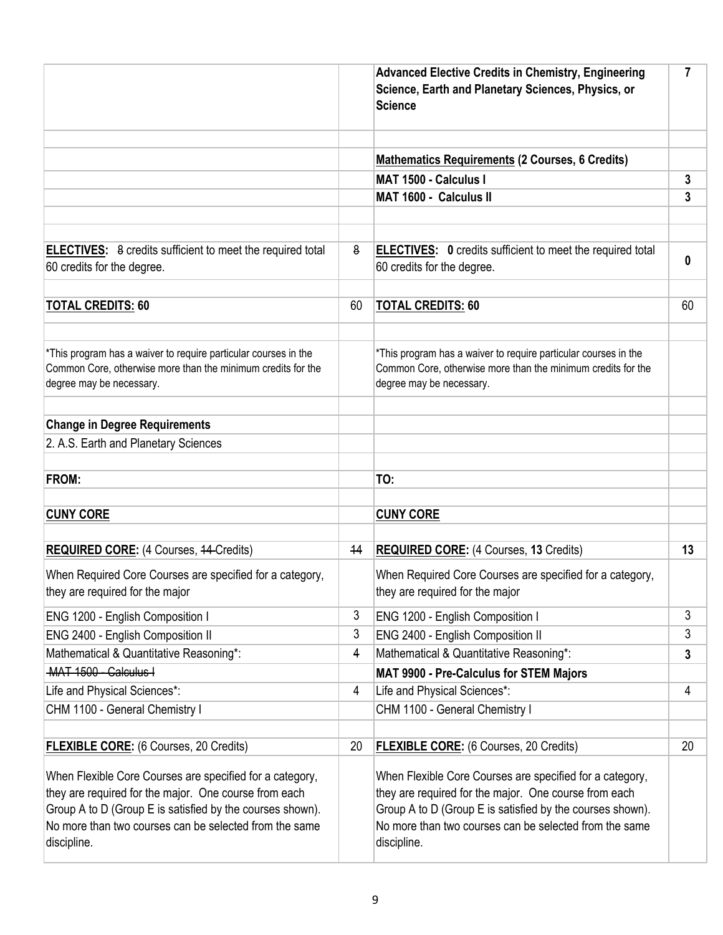|                                                                                                                                                                                                                                                         |    | <b>Advanced Elective Credits in Chemistry, Engineering</b><br>Science, Earth and Planetary Sciences, Physics, or<br><b>Science</b>                                                                                                                      | $\overline{7}$ |
|---------------------------------------------------------------------------------------------------------------------------------------------------------------------------------------------------------------------------------------------------------|----|---------------------------------------------------------------------------------------------------------------------------------------------------------------------------------------------------------------------------------------------------------|----------------|
|                                                                                                                                                                                                                                                         |    | <b>Mathematics Requirements (2 Courses, 6 Credits)</b>                                                                                                                                                                                                  |                |
|                                                                                                                                                                                                                                                         |    | MAT 1500 - Calculus I                                                                                                                                                                                                                                   | 3              |
|                                                                                                                                                                                                                                                         |    | MAT 1600 - Calculus II                                                                                                                                                                                                                                  | 3              |
|                                                                                                                                                                                                                                                         |    |                                                                                                                                                                                                                                                         |                |
| <b>ELECTIVES:</b> 8 credits sufficient to meet the required total<br>60 credits for the degree.                                                                                                                                                         | 8  | <b>ELECTIVES:</b> 0 credits sufficient to meet the required total<br>60 credits for the degree.                                                                                                                                                         | $\bf{0}$       |
| <b>TOTAL CREDITS: 60</b>                                                                                                                                                                                                                                | 60 | <b>TOTAL CREDITS: 60</b>                                                                                                                                                                                                                                | 60             |
| *This program has a waiver to require particular courses in the<br>Common Core, otherwise more than the minimum credits for the<br>degree may be necessary.                                                                                             |    | *This program has a waiver to require particular courses in the<br>Common Core, otherwise more than the minimum credits for the<br>degree may be necessary.                                                                                             |                |
| <b>Change in Degree Requirements</b>                                                                                                                                                                                                                    |    |                                                                                                                                                                                                                                                         |                |
| 2. A.S. Earth and Planetary Sciences                                                                                                                                                                                                                    |    |                                                                                                                                                                                                                                                         |                |
| <b>FROM:</b>                                                                                                                                                                                                                                            |    | TO:                                                                                                                                                                                                                                                     |                |
| <b>CUNY CORE</b>                                                                                                                                                                                                                                        |    | <b>CUNY CORE</b>                                                                                                                                                                                                                                        |                |
| <b>REQUIRED CORE:</b> (4 Courses, 44-Credits)                                                                                                                                                                                                           | 44 | <b>REQUIRED CORE:</b> (4 Courses, 13 Credits)                                                                                                                                                                                                           | 13             |
| When Required Core Courses are specified for a category,<br>they are required for the major                                                                                                                                                             |    | When Required Core Courses are specified for a category,<br>they are required for the major                                                                                                                                                             |                |
| ENG 1200 - English Composition I                                                                                                                                                                                                                        | 3  | ENG 1200 - English Composition I                                                                                                                                                                                                                        | 3              |
| ENG 2400 - English Composition II                                                                                                                                                                                                                       | 3  | ENG 2400 - English Composition II                                                                                                                                                                                                                       | 3              |
| Mathematical & Quantitative Reasoning*:                                                                                                                                                                                                                 | 4  | Mathematical & Quantitative Reasoning*:                                                                                                                                                                                                                 | $\mathbf{3}$   |
| MAT 1500 - Calculus I                                                                                                                                                                                                                                   |    | MAT 9900 - Pre-Calculus for STEM Majors                                                                                                                                                                                                                 |                |
| Life and Physical Sciences*:                                                                                                                                                                                                                            | 4  | Life and Physical Sciences*:                                                                                                                                                                                                                            | 4              |
| CHM 1100 - General Chemistry I                                                                                                                                                                                                                          |    | CHM 1100 - General Chemistry I                                                                                                                                                                                                                          |                |
| <b>FLEXIBLE CORE:</b> (6 Courses, 20 Credits)                                                                                                                                                                                                           | 20 | <b>FLEXIBLE CORE:</b> (6 Courses, 20 Credits)                                                                                                                                                                                                           | 20             |
| When Flexible Core Courses are specified for a category,<br>they are required for the major. One course from each<br>Group A to D (Group E is satisfied by the courses shown).<br>No more than two courses can be selected from the same<br>discipline. |    | When Flexible Core Courses are specified for a category,<br>they are required for the major. One course from each<br>Group A to D (Group E is satisfied by the courses shown).<br>No more than two courses can be selected from the same<br>discipline. |                |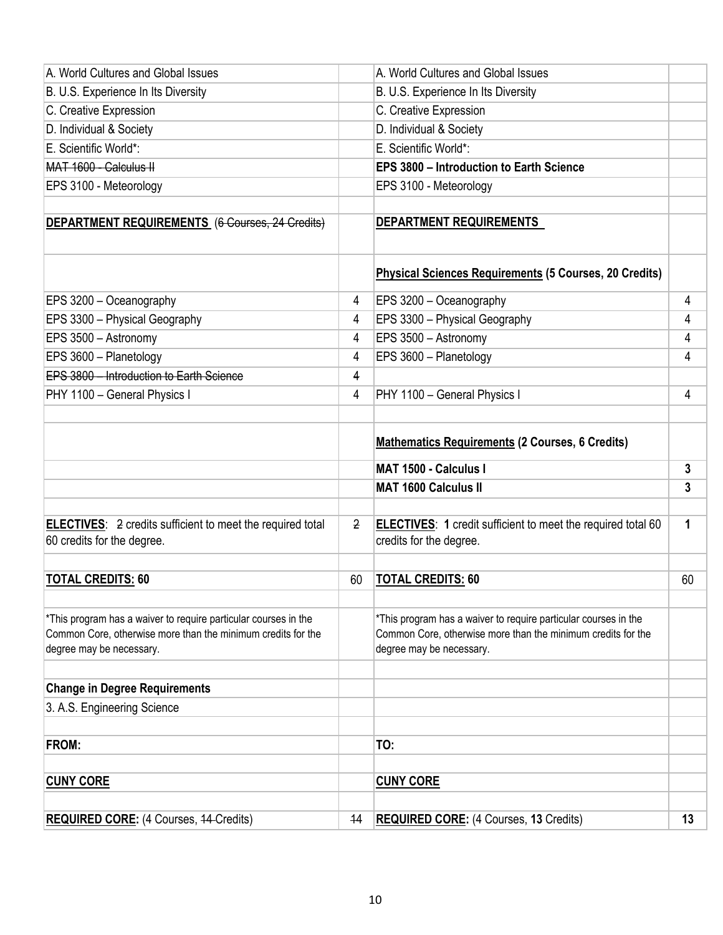| A. World Cultures and Global Issues                                                                                                                         |    | A. World Cultures and Global Issues                                                                                                                         |    |
|-------------------------------------------------------------------------------------------------------------------------------------------------------------|----|-------------------------------------------------------------------------------------------------------------------------------------------------------------|----|
| B. U.S. Experience In Its Diversity                                                                                                                         |    | B. U.S. Experience In Its Diversity                                                                                                                         |    |
| C. Creative Expression                                                                                                                                      |    | C. Creative Expression                                                                                                                                      |    |
| D. Individual & Society                                                                                                                                     |    | D. Individual & Society                                                                                                                                     |    |
| E. Scientific World*:                                                                                                                                       |    | E. Scientific World*:                                                                                                                                       |    |
| MAT 1600 - Calculus II                                                                                                                                      |    | <b>EPS 3800 - Introduction to Earth Science</b>                                                                                                             |    |
| EPS 3100 - Meteorology                                                                                                                                      |    | EPS 3100 - Meteorology                                                                                                                                      |    |
|                                                                                                                                                             |    |                                                                                                                                                             |    |
| DEPARTMENT REQUIREMENTS (6 Courses, 24 Credits)                                                                                                             |    | <b>DEPARTMENT REQUIREMENTS</b>                                                                                                                              |    |
|                                                                                                                                                             |    | Physical Sciences Requirements (5 Courses, 20 Credits)                                                                                                      |    |
| EPS 3200 - Oceanography                                                                                                                                     | 4  | EPS 3200 - Oceanography                                                                                                                                     | 4  |
| EPS 3300 - Physical Geography                                                                                                                               | 4  | EPS 3300 - Physical Geography                                                                                                                               | 4  |
| EPS 3500 - Astronomy                                                                                                                                        | 4  | EPS 3500 - Astronomy                                                                                                                                        | 4  |
| EPS 3600 - Planetology                                                                                                                                      | 4  | EPS 3600 - Planetology                                                                                                                                      | 4  |
| EPS 3800 - Introduction to Earth Science                                                                                                                    | 4  |                                                                                                                                                             |    |
| PHY 1100 - General Physics I                                                                                                                                | 4  | PHY 1100 - General Physics I                                                                                                                                | 4  |
|                                                                                                                                                             |    |                                                                                                                                                             |    |
|                                                                                                                                                             |    |                                                                                                                                                             |    |
|                                                                                                                                                             |    | <b>Mathematics Requirements (2 Courses, 6 Credits)</b>                                                                                                      |    |
|                                                                                                                                                             |    | MAT 1500 - Calculus I                                                                                                                                       | 3  |
|                                                                                                                                                             |    | <b>MAT 1600 Calculus II</b>                                                                                                                                 | 3  |
|                                                                                                                                                             |    |                                                                                                                                                             |    |
| <b>ELECTIVES:</b> 2 credits sufficient to meet the required total<br>60 credits for the degree.                                                             | 2  | ELECTIVES: 1 credit sufficient to meet the required total 60<br>credits for the degree.                                                                     | 1  |
|                                                                                                                                                             |    |                                                                                                                                                             |    |
| <b>TOTAL CREDITS: 60</b>                                                                                                                                    | 60 | <b>TOTAL CREDITS: 60</b>                                                                                                                                    | 60 |
| *This program has a waiver to require particular courses in the<br>Common Core, otherwise more than the minimum credits for the<br>degree may be necessary. |    | *This program has a waiver to require particular courses in the<br>Common Core, otherwise more than the minimum credits for the<br>degree may be necessary. |    |
|                                                                                                                                                             |    |                                                                                                                                                             |    |
| <b>Change in Degree Requirements</b>                                                                                                                        |    |                                                                                                                                                             |    |
| 3. A.S. Engineering Science                                                                                                                                 |    |                                                                                                                                                             |    |
| FROM:                                                                                                                                                       |    | TO:                                                                                                                                                         |    |
|                                                                                                                                                             |    |                                                                                                                                                             |    |
| <b>CUNY CORE</b>                                                                                                                                            |    | <b>CUNY CORE</b>                                                                                                                                            |    |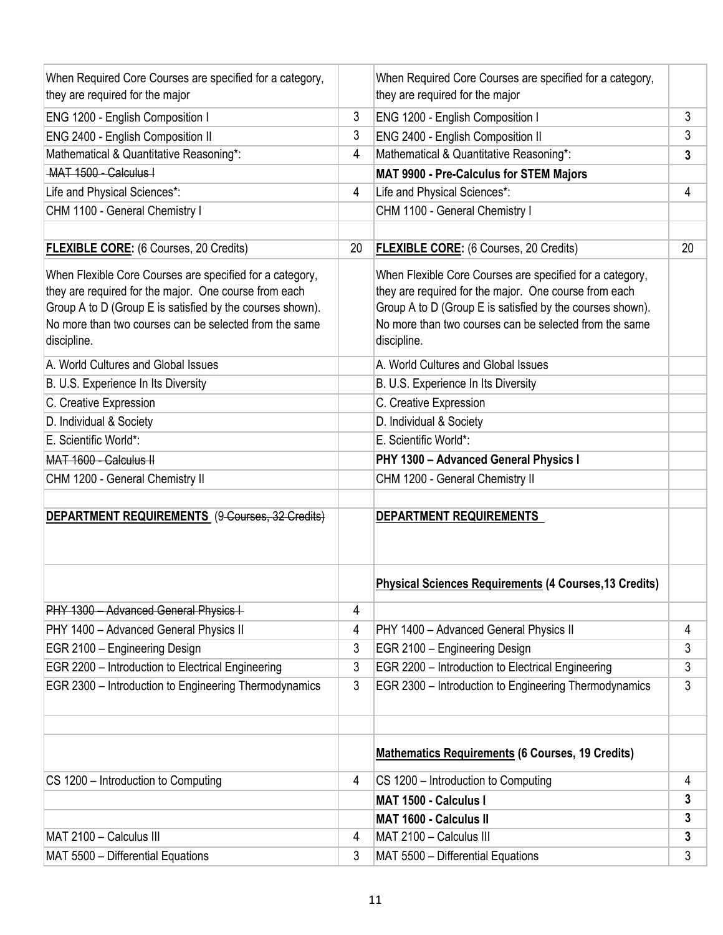| When Required Core Courses are specified for a category,  |    | When Required Core Courses are specified for a category,      |                |
|-----------------------------------------------------------|----|---------------------------------------------------------------|----------------|
| they are required for the major                           |    | they are required for the major                               |                |
| ENG 1200 - English Composition I                          | 3  | ENG 1200 - English Composition I                              | 3              |
| ENG 2400 - English Composition II                         | 3  | ENG 2400 - English Composition II                             | 3              |
| Mathematical & Quantitative Reasoning*:                   | 4  | Mathematical & Quantitative Reasoning*:                       | 3              |
| MAT 1500 - Calculus I                                     |    | MAT 9900 - Pre-Calculus for STEM Majors                       |                |
| Life and Physical Sciences*:                              | 4  | Life and Physical Sciences*:                                  | $\overline{4}$ |
| CHM 1100 - General Chemistry I                            |    | CHM 1100 - General Chemistry I                                |                |
|                                                           |    |                                                               |                |
| <b>FLEXIBLE CORE:</b> (6 Courses, 20 Credits)             | 20 | <b>FLEXIBLE CORE:</b> (6 Courses, 20 Credits)                 | 20             |
| When Flexible Core Courses are specified for a category,  |    | When Flexible Core Courses are specified for a category,      |                |
| they are required for the major. One course from each     |    | they are required for the major. One course from each         |                |
| Group A to D (Group E is satisfied by the courses shown). |    | Group A to D (Group E is satisfied by the courses shown).     |                |
| No more than two courses can be selected from the same    |    | No more than two courses can be selected from the same        |                |
| discipline.                                               |    | discipline.                                                   |                |
| A. World Cultures and Global Issues                       |    | A. World Cultures and Global Issues                           |                |
| B. U.S. Experience In Its Diversity                       |    | B. U.S. Experience In Its Diversity                           |                |
| C. Creative Expression                                    |    | C. Creative Expression                                        |                |
| D. Individual & Society                                   |    | D. Individual & Society                                       |                |
| E. Scientific World*:                                     |    | E. Scientific World*:                                         |                |
| MAT 1600 - Calculus II                                    |    | PHY 1300 - Advanced General Physics I                         |                |
| CHM 1200 - General Chemistry II                           |    | CHM 1200 - General Chemistry II                               |                |
|                                                           |    |                                                               |                |
| DEPARTMENT REQUIREMENTS (9-Courses, 32-Credits)           |    | DEPARTMENT REQUIREMENTS                                       |                |
|                                                           |    |                                                               |                |
|                                                           |    | <b>Physical Sciences Requirements (4 Courses, 13 Credits)</b> |                |
| PHY 1300 - Advanced General Physics I-                    | 4  |                                                               |                |
| PHY 1400 - Advanced General Physics II                    | 4  | PHY 1400 - Advanced General Physics II                        | 4              |
| EGR 2100 - Engineering Design                             | 3  | EGR 2100 - Engineering Design                                 | 3              |
| EGR 2200 - Introduction to Electrical Engineering         | 3  | EGR 2200 - Introduction to Electrical Engineering             | 3              |
| EGR 2300 - Introduction to Engineering Thermodynamics     | 3  | EGR 2300 - Introduction to Engineering Thermodynamics         | 3              |
|                                                           |    |                                                               |                |
|                                                           |    | <b>Mathematics Requirements (6 Courses, 19 Credits)</b>       |                |
| CS 1200 - Introduction to Computing                       | 4  | CS 1200 - Introduction to Computing                           | 4              |
|                                                           |    | MAT 1500 - Calculus I                                         | 3              |
|                                                           |    | <b>MAT 1600 - Calculus II</b>                                 | 3              |
| MAT 2100 - Calculus III                                   | 4  | MAT 2100 - Calculus III                                       | 3              |
| MAT 5500 - Differential Equations                         | 3  | MAT 5500 - Differential Equations                             | 3              |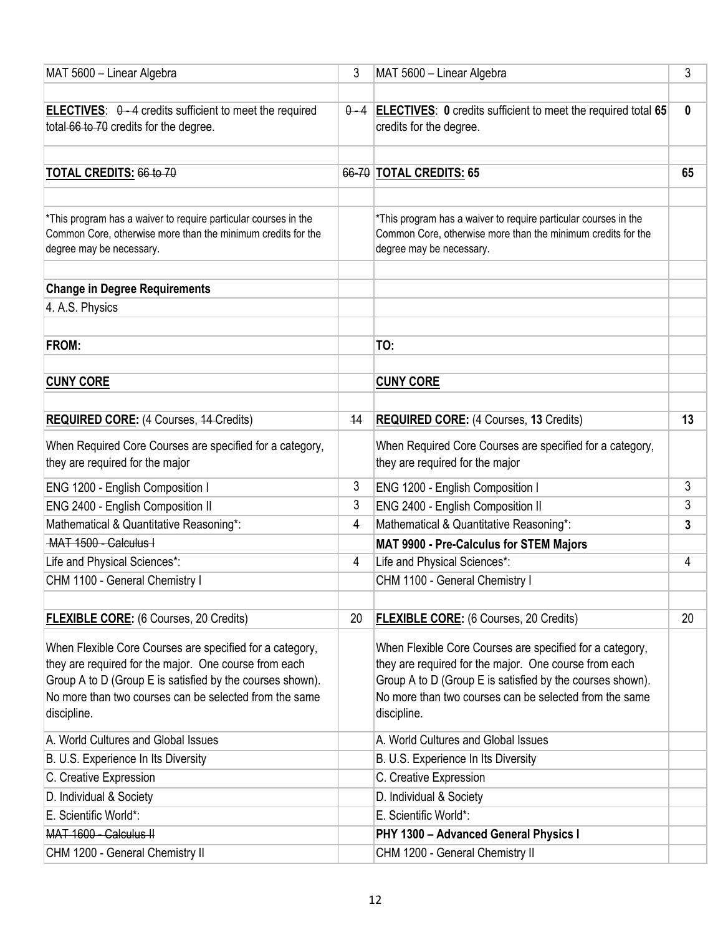| MAT 5600 - Linear Algebra                                                                                                                                                                                                                               | 3  | MAT 5600 - Linear Algebra                                                                                                                                                                                                                               | 3            |
|---------------------------------------------------------------------------------------------------------------------------------------------------------------------------------------------------------------------------------------------------------|----|---------------------------------------------------------------------------------------------------------------------------------------------------------------------------------------------------------------------------------------------------------|--------------|
|                                                                                                                                                                                                                                                         |    |                                                                                                                                                                                                                                                         |              |
| <b>ELECTIVES:</b> $\theta$ -4 credits sufficient to meet the required<br>total-66 to 70 credits for the degree.                                                                                                                                         |    | $\theta$ -4 <b>ELECTIVES</b> : 0 credits sufficient to meet the required total 65<br>credits for the degree.                                                                                                                                            | $\mathbf{0}$ |
| TOTAL CREDITS: 66 to 70                                                                                                                                                                                                                                 |    | 66-70 TOTAL CREDITS: 65                                                                                                                                                                                                                                 | 65           |
| *This program has a waiver to require particular courses in the<br>Common Core, otherwise more than the minimum credits for the<br>degree may be necessary.                                                                                             |    | *This program has a waiver to require particular courses in the<br>Common Core, otherwise more than the minimum credits for the<br>degree may be necessary.                                                                                             |              |
| <b>Change in Degree Requirements</b>                                                                                                                                                                                                                    |    |                                                                                                                                                                                                                                                         |              |
| 4. A.S. Physics                                                                                                                                                                                                                                         |    |                                                                                                                                                                                                                                                         |              |
| FROM:                                                                                                                                                                                                                                                   |    | TO:                                                                                                                                                                                                                                                     |              |
| <b>CUNY CORE</b>                                                                                                                                                                                                                                        |    | <b>CUNY CORE</b>                                                                                                                                                                                                                                        |              |
| <b>REQUIRED CORE:</b> (4 Courses, 44-Credits)                                                                                                                                                                                                           | 44 | <b>REQUIRED CORE:</b> (4 Courses, 13 Credits)                                                                                                                                                                                                           | 13           |
| When Required Core Courses are specified for a category,<br>they are required for the major                                                                                                                                                             |    | When Required Core Courses are specified for a category,<br>they are required for the major                                                                                                                                                             |              |
| ENG 1200 - English Composition I                                                                                                                                                                                                                        | 3  | ENG 1200 - English Composition I                                                                                                                                                                                                                        | 3            |
| ENG 2400 - English Composition II                                                                                                                                                                                                                       | 3  | ENG 2400 - English Composition II                                                                                                                                                                                                                       | 3            |
| Mathematical & Quantitative Reasoning*:                                                                                                                                                                                                                 | 4  | Mathematical & Quantitative Reasoning*:                                                                                                                                                                                                                 | 3            |
| MAT 1500 - Calculus I                                                                                                                                                                                                                                   |    | MAT 9900 - Pre-Calculus for STEM Majors                                                                                                                                                                                                                 |              |
| Life and Physical Sciences*:                                                                                                                                                                                                                            | 4  | Life and Physical Sciences*:                                                                                                                                                                                                                            | 4            |
| CHM 1100 - General Chemistry I                                                                                                                                                                                                                          |    | CHM 1100 - General Chemistry I                                                                                                                                                                                                                          |              |
| <b>FLEXIBLE CORE:</b> (6 Courses, 20 Credits)                                                                                                                                                                                                           | 20 | <b>FLEXIBLE CORE:</b> (6 Courses, 20 Credits)                                                                                                                                                                                                           | 20           |
| When Flexible Core Courses are specified for a category,<br>they are required for the major. One course from each<br>Group A to D (Group E is satisfied by the courses shown).<br>No more than two courses can be selected from the same<br>discipline. |    | When Flexible Core Courses are specified for a category,<br>they are required for the major. One course from each<br>Group A to D (Group E is satisfied by the courses shown).<br>No more than two courses can be selected from the same<br>discipline. |              |
| A. World Cultures and Global Issues                                                                                                                                                                                                                     |    | A. World Cultures and Global Issues                                                                                                                                                                                                                     |              |
| B. U.S. Experience In Its Diversity                                                                                                                                                                                                                     |    | B. U.S. Experience In Its Diversity                                                                                                                                                                                                                     |              |
| C. Creative Expression                                                                                                                                                                                                                                  |    | C. Creative Expression                                                                                                                                                                                                                                  |              |
| D. Individual & Society                                                                                                                                                                                                                                 |    | D. Individual & Society                                                                                                                                                                                                                                 |              |
| E. Scientific World*:                                                                                                                                                                                                                                   |    | E. Scientific World*:                                                                                                                                                                                                                                   |              |
| MAT 1600 - Calculus II                                                                                                                                                                                                                                  |    | PHY 1300 - Advanced General Physics I                                                                                                                                                                                                                   |              |
| CHM 1200 - General Chemistry II                                                                                                                                                                                                                         |    | CHM 1200 - General Chemistry II                                                                                                                                                                                                                         |              |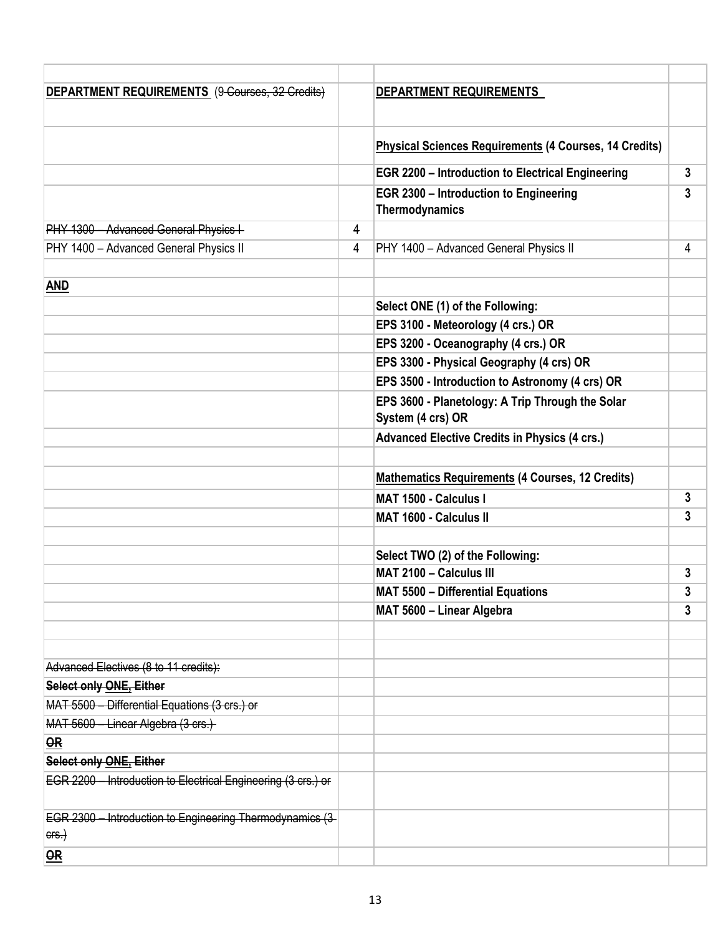| DEPARTMENT REQUIREMENTS (9-Courses, 32-Credits)                   |   | DEPARTMENT REQUIREMENTS                                               |              |
|-------------------------------------------------------------------|---|-----------------------------------------------------------------------|--------------|
|                                                                   |   |                                                                       |              |
|                                                                   |   | <b>Physical Sciences Requirements (4 Courses, 14 Credits)</b>         |              |
|                                                                   |   | <b>EGR 2200 - Introduction to Electrical Engineering</b>              | $\mathbf{3}$ |
|                                                                   |   | EGR 2300 - Introduction to Engineering<br>Thermodynamics              | 3            |
| PHY 1300 - Advanced General Physics I-                            | 4 |                                                                       |              |
| PHY 1400 - Advanced General Physics II                            | 4 | PHY 1400 - Advanced General Physics II                                | 4            |
|                                                                   |   |                                                                       |              |
| <b>AND</b>                                                        |   |                                                                       |              |
|                                                                   |   | Select ONE (1) of the Following:                                      |              |
|                                                                   |   | EPS 3100 - Meteorology (4 crs.) OR                                    |              |
|                                                                   |   | EPS 3200 - Oceanography (4 crs.) OR                                   |              |
|                                                                   |   | EPS 3300 - Physical Geography (4 crs) OR                              |              |
|                                                                   |   | EPS 3500 - Introduction to Astronomy (4 crs) OR                       |              |
|                                                                   |   | EPS 3600 - Planetology: A Trip Through the Solar<br>System (4 crs) OR |              |
|                                                                   |   | <b>Advanced Elective Credits in Physics (4 crs.)</b>                  |              |
|                                                                   |   |                                                                       |              |
|                                                                   |   | <b>Mathematics Requirements (4 Courses, 12 Credits)</b>               |              |
|                                                                   |   | <b>MAT 1500 - Calculus I</b>                                          | 3            |
|                                                                   |   | <b>MAT 1600 - Calculus II</b>                                         | 3            |
|                                                                   |   |                                                                       |              |
|                                                                   |   | Select TWO (2) of the Following:                                      |              |
|                                                                   |   | MAT 2100 - Calculus III                                               | 3            |
|                                                                   |   | <b>MAT 5500 - Differential Equations</b>                              | 3            |
|                                                                   |   | MAT 5600 - Linear Algebra                                             | 3            |
|                                                                   |   |                                                                       |              |
|                                                                   |   |                                                                       |              |
| Advanced Electives (8 to 11 credits):                             |   |                                                                       |              |
| <b>Select only ONE, Either</b>                                    |   |                                                                       |              |
| MAT 5500 - Differential Equations (3 crs.) or                     |   |                                                                       |              |
| MAT 5600 - Linear Algebra (3 crs.)                                |   |                                                                       |              |
| OR                                                                |   |                                                                       |              |
| Select only ONE, Either                                           |   |                                                                       |              |
| EGR 2200 - Introduction to Electrical Engineering (3 crs.) or     |   |                                                                       |              |
| EGR 2300 - Introduction to Engineering Thermodynamics (3-<br>ers. |   |                                                                       |              |
| $\overline{\mathbf{OR}}$                                          |   |                                                                       |              |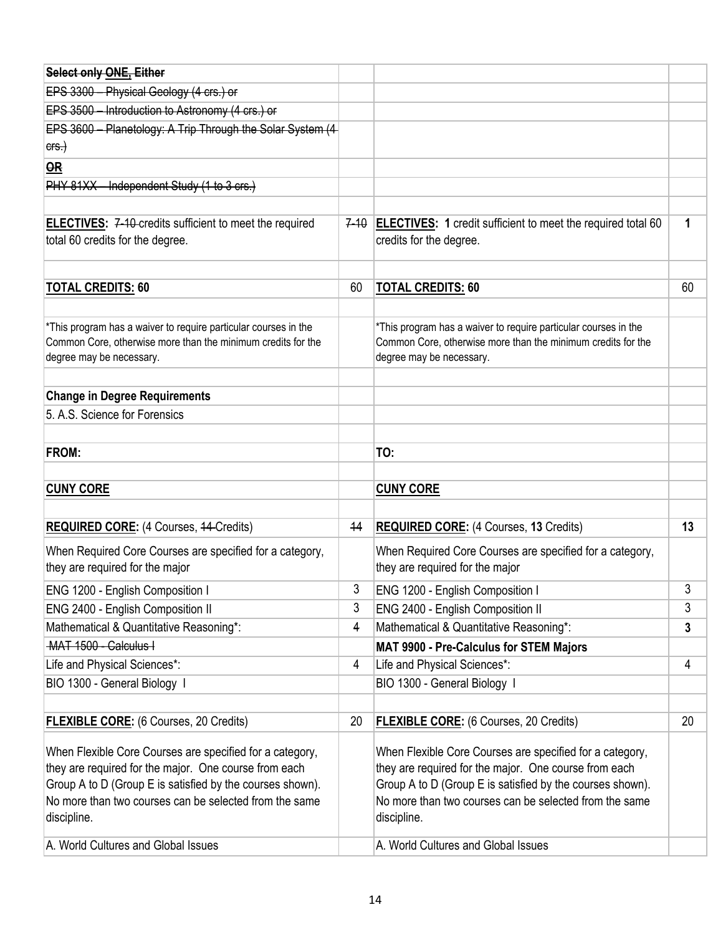| <b>Select only ONE, Either</b>                                  |          |                                                                     |    |
|-----------------------------------------------------------------|----------|---------------------------------------------------------------------|----|
| EPS 3300 - Physical Geology (4 crs.) or                         |          |                                                                     |    |
| EPS 3500 - Introduction to Astronomy (4 crs.) or                |          |                                                                     |    |
| EPS 3600 - Planetology: A Trip Through the Solar System (4      |          |                                                                     |    |
| ers.                                                            |          |                                                                     |    |
| <b>OR</b>                                                       |          |                                                                     |    |
| PHY 81XX - Independent Study (1 to 3 crs.)                      |          |                                                                     |    |
|                                                                 |          |                                                                     |    |
| <b>ELECTIVES:</b> 7-10-credits sufficient to meet the required  | $7 - 10$ | <b>ELECTIVES: 1</b> credit sufficient to meet the required total 60 | 1  |
| total 60 credits for the degree.                                |          | credits for the degree.                                             |    |
|                                                                 |          |                                                                     |    |
| <b>TOTAL CREDITS: 60</b>                                        | 60       | <b>TOTAL CREDITS: 60</b>                                            | 60 |
|                                                                 |          |                                                                     |    |
| *This program has a waiver to require particular courses in the |          | *This program has a waiver to require particular courses in the     |    |
| Common Core, otherwise more than the minimum credits for the    |          | Common Core, otherwise more than the minimum credits for the        |    |
| degree may be necessary.                                        |          | degree may be necessary.                                            |    |
|                                                                 |          |                                                                     |    |
| <b>Change in Degree Requirements</b>                            |          |                                                                     |    |
| 5. A.S. Science for Forensics                                   |          |                                                                     |    |
|                                                                 |          |                                                                     |    |
| FROM:                                                           |          | TO:                                                                 |    |
|                                                                 |          |                                                                     |    |
| <b>CUNY CORE</b>                                                |          | <b>CUNY CORE</b>                                                    |    |
|                                                                 |          |                                                                     |    |
| <b>REQUIRED CORE:</b> (4 Courses, 44-Credits)                   | 44       | <b>REQUIRED CORE: (4 Courses, 13 Credits)</b>                       | 13 |
| When Required Core Courses are specified for a category,        |          | When Required Core Courses are specified for a category,            |    |
| they are required for the major                                 |          | they are required for the major                                     |    |
| ENG 1200 - English Composition I                                | 3        | ENG 1200 - English Composition I                                    | 3  |
| ENG 2400 - English Composition II                               | 3        | ENG 2400 - English Composition II                                   | 3  |
| Mathematical & Quantitative Reasoning*:                         | 4        | Mathematical & Quantitative Reasoning*:                             | 3  |
| -MAT 1500 - Calculus I                                          |          | <b>MAT 9900 - Pre-Calculus for STEM Majors</b>                      |    |
| Life and Physical Sciences*:                                    | 4        | Life and Physical Sciences*:                                        | 4  |
| BIO 1300 - General Biology I                                    |          | BIO 1300 - General Biology I                                        |    |
|                                                                 |          |                                                                     |    |
| <b>FLEXIBLE CORE:</b> (6 Courses, 20 Credits)                   | 20       | <b>FLEXIBLE CORE:</b> (6 Courses, 20 Credits)                       | 20 |
| When Flexible Core Courses are specified for a category,        |          | When Flexible Core Courses are specified for a category,            |    |
| they are required for the major. One course from each           |          | they are required for the major. One course from each               |    |
| Group A to D (Group E is satisfied by the courses shown).       |          | Group A to D (Group E is satisfied by the courses shown).           |    |
| No more than two courses can be selected from the same          |          | No more than two courses can be selected from the same              |    |
| discipline.                                                     |          | discipline.                                                         |    |
| A. World Cultures and Global Issues                             |          | A. World Cultures and Global Issues                                 |    |
|                                                                 |          |                                                                     |    |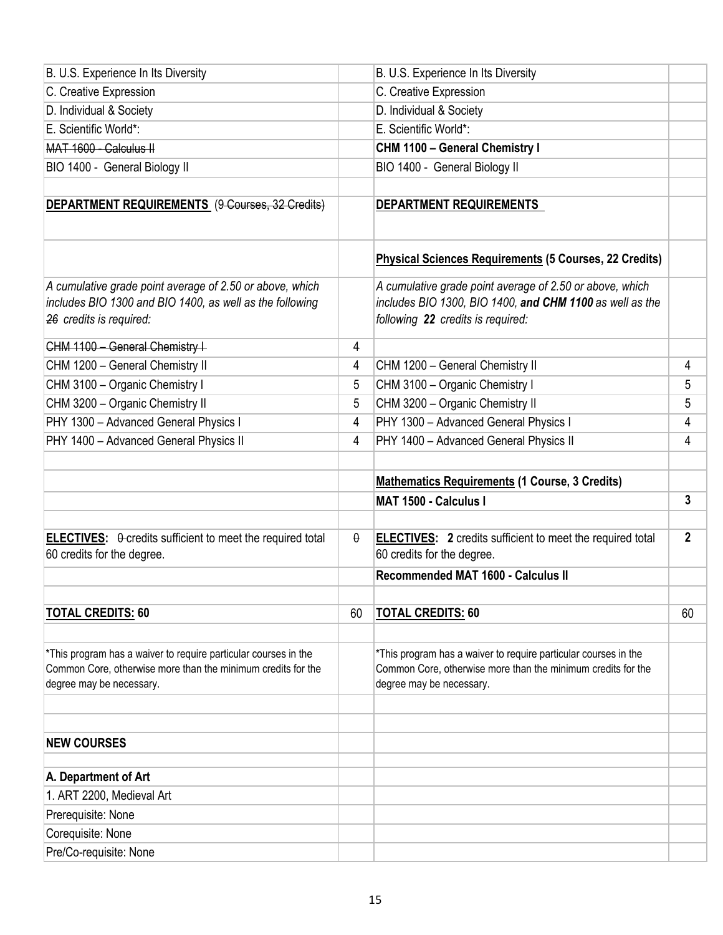| B. U.S. Experience In Its Diversity                                                                                                                         |          | B. U.S. Experience In Its Diversity                                                                                                                         |                |
|-------------------------------------------------------------------------------------------------------------------------------------------------------------|----------|-------------------------------------------------------------------------------------------------------------------------------------------------------------|----------------|
| C. Creative Expression                                                                                                                                      |          | C. Creative Expression                                                                                                                                      |                |
| D. Individual & Society                                                                                                                                     |          | D. Individual & Society                                                                                                                                     |                |
| E. Scientific World*:                                                                                                                                       |          | E. Scientific World*:                                                                                                                                       |                |
| MAT 1600 - Calculus II                                                                                                                                      |          | CHM 1100 - General Chemistry I                                                                                                                              |                |
| BIO 1400 - General Biology II                                                                                                                               |          | BIO 1400 - General Biology II                                                                                                                               |                |
|                                                                                                                                                             |          |                                                                                                                                                             |                |
| DEPARTMENT REQUIREMENTS (9-Courses, 32 Credits)                                                                                                             |          | <b>DEPARTMENT REQUIREMENTS</b>                                                                                                                              |                |
|                                                                                                                                                             |          | <b>Physical Sciences Requirements (5 Courses, 22 Credits)</b>                                                                                               |                |
| A cumulative grade point average of 2.50 or above, which<br>includes BIO 1300 and BIO 1400, as well as the following<br>26 credits is required:             |          | A cumulative grade point average of 2.50 or above, which<br>includes BIO 1300, BIO 1400, and CHM 1100 as well as the<br>following 22 credits is required:   |                |
| CHM 1100 - General Chemistry I-                                                                                                                             | 4        |                                                                                                                                                             |                |
| CHM 1200 - General Chemistry II                                                                                                                             | 4        | CHM 1200 - General Chemistry II                                                                                                                             | 4              |
| CHM 3100 - Organic Chemistry I                                                                                                                              | 5        | CHM 3100 - Organic Chemistry I                                                                                                                              | 5              |
| CHM 3200 - Organic Chemistry II                                                                                                                             | 5        | CHM 3200 - Organic Chemistry II                                                                                                                             | 5              |
| PHY 1300 - Advanced General Physics I                                                                                                                       | 4        | PHY 1300 - Advanced General Physics I                                                                                                                       | 4              |
| PHY 1400 - Advanced General Physics II                                                                                                                      | 4        | PHY 1400 - Advanced General Physics II                                                                                                                      | 4              |
|                                                                                                                                                             |          |                                                                                                                                                             |                |
|                                                                                                                                                             |          |                                                                                                                                                             |                |
|                                                                                                                                                             |          | <b>Mathematics Requirements (1 Course, 3 Credits)</b>                                                                                                       |                |
|                                                                                                                                                             |          | <b>MAT 1500 - Calculus I</b>                                                                                                                                | 3              |
|                                                                                                                                                             |          |                                                                                                                                                             |                |
| <b>ELECTIVES:</b> $\theta$ -credits sufficient to meet the required total<br>60 credits for the degree.                                                     | $\theta$ | <b>ELECTIVES:</b> 2 credits sufficient to meet the required total<br>60 credits for the degree.                                                             | $\overline{2}$ |
|                                                                                                                                                             |          | Recommended MAT 1600 - Calculus II                                                                                                                          |                |
|                                                                                                                                                             |          |                                                                                                                                                             |                |
| <b>TOTAL CREDITS: 60</b>                                                                                                                                    | 60       | <b>TOTAL CREDITS: 60</b>                                                                                                                                    | 60             |
|                                                                                                                                                             |          |                                                                                                                                                             |                |
| *This program has a waiver to require particular courses in the<br>Common Core, otherwise more than the minimum credits for the<br>degree may be necessary. |          | *This program has a waiver to require particular courses in the<br>Common Core, otherwise more than the minimum credits for the<br>degree may be necessary. |                |
|                                                                                                                                                             |          |                                                                                                                                                             |                |
| <b>NEW COURSES</b>                                                                                                                                          |          |                                                                                                                                                             |                |
| A. Department of Art                                                                                                                                        |          |                                                                                                                                                             |                |
| 1. ART 2200, Medieval Art                                                                                                                                   |          |                                                                                                                                                             |                |
| Prerequisite: None                                                                                                                                          |          |                                                                                                                                                             |                |
| Corequisite: None                                                                                                                                           |          |                                                                                                                                                             |                |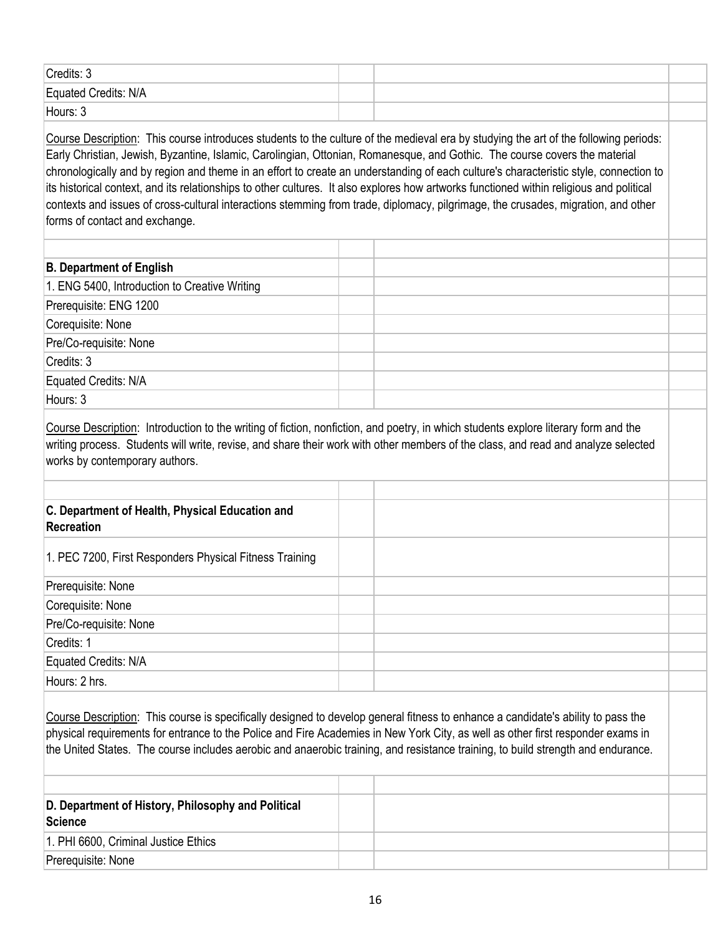| Credits: 3           |  |  |
|----------------------|--|--|
| Equated Credits: N/A |  |  |
| Hours: 3             |  |  |

Course Description: This course introduces students to the culture of the medieval era by studying the art of the following periods: Early Christian, Jewish, Byzantine, Islamic, Carolingian, Ottonian, Romanesque, and Gothic. The course covers the material chronologically and by region and theme in an effort to create an understanding of each culture's characteristic style, connection to its historical context, and its relationships to other cultures. It also explores how artworks functioned within religious and political contexts and issues of cross-cultural interactions stemming from trade, diplomacy, pilgrimage, the crusades, migration, and other forms of contact and exchange.

| <b>B. Department of English</b>                                                                                                                              |  |  |
|--------------------------------------------------------------------------------------------------------------------------------------------------------------|--|--|
|                                                                                                                                                              |  |  |
|                                                                                                                                                              |  |  |
|                                                                                                                                                              |  |  |
|                                                                                                                                                              |  |  |
|                                                                                                                                                              |  |  |
|                                                                                                                                                              |  |  |
| Hours: 3                                                                                                                                                     |  |  |
| 1. ENG 5400, Introduction to Creative Writing<br>Prerequisite: ENG 1200<br>Corequisite: None<br>Pre/Co-requisite: None<br>Credits: 3<br>Equated Credits: N/A |  |  |

Course Description: Introduction to the writing of fiction, nonfiction, and poetry, in which students explore literary form and the writing process. Students will write, revise, and share their work with other members of the class, and read and analyze selected works by contemporary authors.

| C. Department of Health, Physical Education and<br>Recreation |  |  |
|---------------------------------------------------------------|--|--|
| 1. PEC 7200, First Responders Physical Fitness Training       |  |  |
| Prerequisite: None                                            |  |  |
| Corequisite: None                                             |  |  |
| Pre/Co-requisite: None                                        |  |  |
| Credits: 1                                                    |  |  |
| Equated Credits: N/A                                          |  |  |
| Hours: 2 hrs.                                                 |  |  |

Course Description: This course is specifically designed to develop general fitness to enhance a candidate's ability to pass the physical requirements for entrance to the Police and Fire Academies in New York City, as well as other first responder exams in the United States. The course includes aerobic and anaerobic training, and resistance training, to build strength and endurance.

| D. Department of History, Philosophy and Political<br>Science |  |  |
|---------------------------------------------------------------|--|--|
| 1. PHI 6600, Criminal Justice Ethics                          |  |  |
| Prerequisite: None                                            |  |  |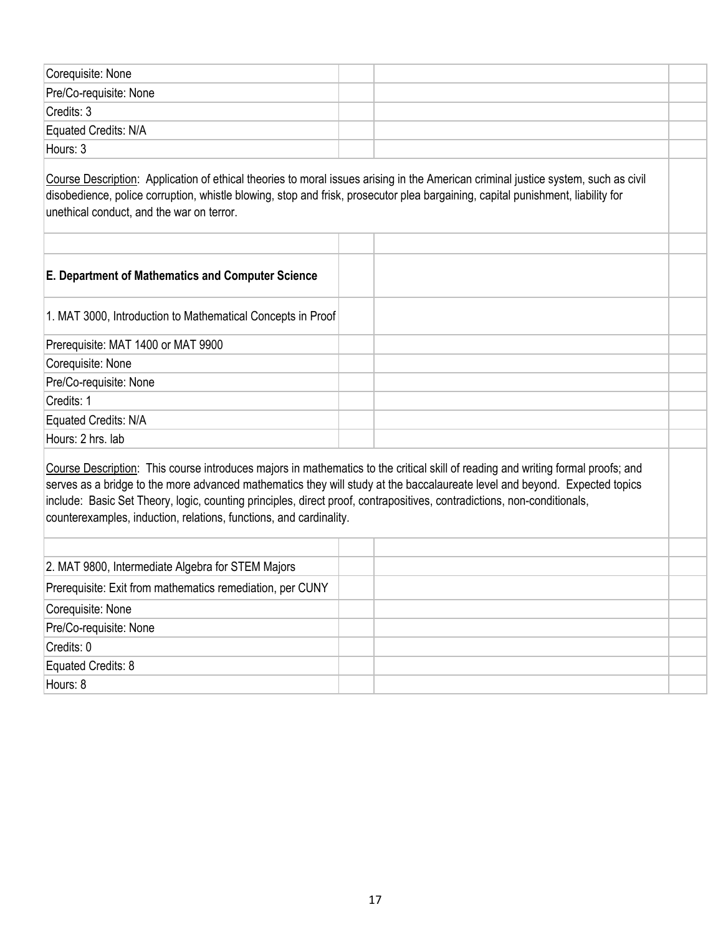| Corequisite: None      |  |  |
|------------------------|--|--|
| Pre/Co-requisite: None |  |  |
| Credits: 3             |  |  |
| Equated Credits: N/A   |  |  |
| Hours: 3               |  |  |

Course Description: Application of ethical theories to moral issues arising in the American criminal justice system, such as civil disobedience, police corruption, whistle blowing, stop and frisk, prosecutor plea bargaining, capital punishment, liability for unethical conduct, and the war on terror.

Course Description: This course introduces majors in mathematics to the critical skill of reading and writing formal proofs; and serves as a bridge to the more advanced mathematics they will study at the baccalaureate level and beyond. Expected topics include: Basic Set Theory, logic, counting principles, direct proof, contrapositives, contradictions, non-conditionals, counterexamples, induction, relations, functions, and cardinality.

| 2. MAT 9800, Intermediate Algebra for STEM Majors         |  |  |
|-----------------------------------------------------------|--|--|
| Prerequisite: Exit from mathematics remediation, per CUNY |  |  |
| Corequisite: None                                         |  |  |
| Pre/Co-requisite: None                                    |  |  |
| Credits: 0                                                |  |  |
| Equated Credits: 8                                        |  |  |
| Hours: 8                                                  |  |  |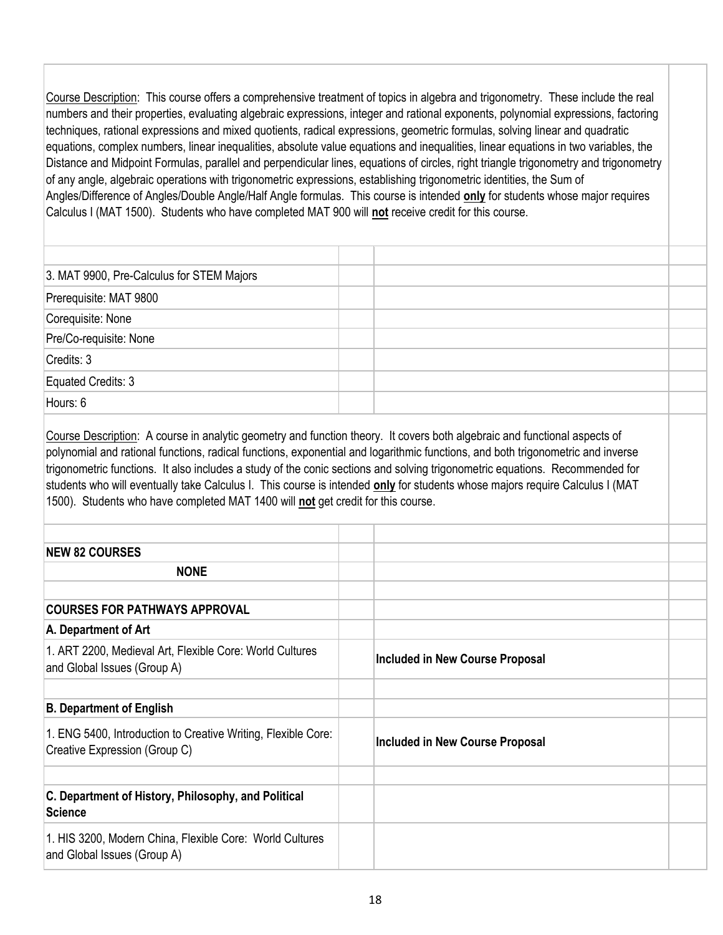Course Description: This course offers a comprehensive treatment of topics in algebra and trigonometry. These include the real numbers and their properties, evaluating algebraic expressions, integer and rational exponents, polynomial expressions, factoring techniques, rational expressions and mixed quotients, radical expressions, geometric formulas, solving linear and quadratic equations, complex numbers, linear inequalities, absolute value equations and inequalities, linear equations in two variables, the Distance and Midpoint Formulas, parallel and perpendicular lines, equations of circles, right triangle trigonometry and trigonometry of any angle, algebraic operations with trigonometric expressions, establishing trigonometric identities, the Sum of Angles/Difference of Angles/Double Angle/Half Angle formulas. This course is intended **only** for students whose major requires Calculus I (MAT 1500). Students who have completed MAT 900 will **not** receive credit for this course.

| 3. MAT 9900, Pre-Calculus for STEM Majors |  |  |
|-------------------------------------------|--|--|
| Prerequisite: MAT 9800                    |  |  |
| Corequisite: None                         |  |  |
| Pre/Co-requisite: None                    |  |  |
| Credits: 3                                |  |  |
| Equated Credits: 3                        |  |  |
| Hours: 6                                  |  |  |

Course Description: A course in analytic geometry and function theory. It covers both algebraic and functional aspects of polynomial and rational functions, radical functions, exponential and logarithmic functions, and both trigonometric and inverse trigonometric functions. It also includes a study of the conic sections and solving trigonometric equations. Recommended for students who will eventually take Calculus I. This course is intended **only** for students whose majors require Calculus I (MAT 1500). Students who have completed MAT 1400 will **not** get credit for this course.

| <b>NEW 82 COURSES</b>                                                                          |                                 |  |
|------------------------------------------------------------------------------------------------|---------------------------------|--|
| <b>NONE</b>                                                                                    |                                 |  |
|                                                                                                |                                 |  |
| <b>COURSES FOR PATHWAYS APPROVAL</b>                                                           |                                 |  |
| A. Department of Art                                                                           |                                 |  |
| 1. ART 2200, Medieval Art, Flexible Core: World Cultures<br>and Global Issues (Group A)        | Included in New Course Proposal |  |
|                                                                                                |                                 |  |
| <b>B. Department of English</b>                                                                |                                 |  |
| 1. ENG 5400, Introduction to Creative Writing, Flexible Core:<br>Creative Expression (Group C) | Included in New Course Proposal |  |
|                                                                                                |                                 |  |
| C. Department of History, Philosophy, and Political<br><b>Science</b>                          |                                 |  |
| 1. HIS 3200, Modern China, Flexible Core: World Cultures<br>and Global Issues (Group A)        |                                 |  |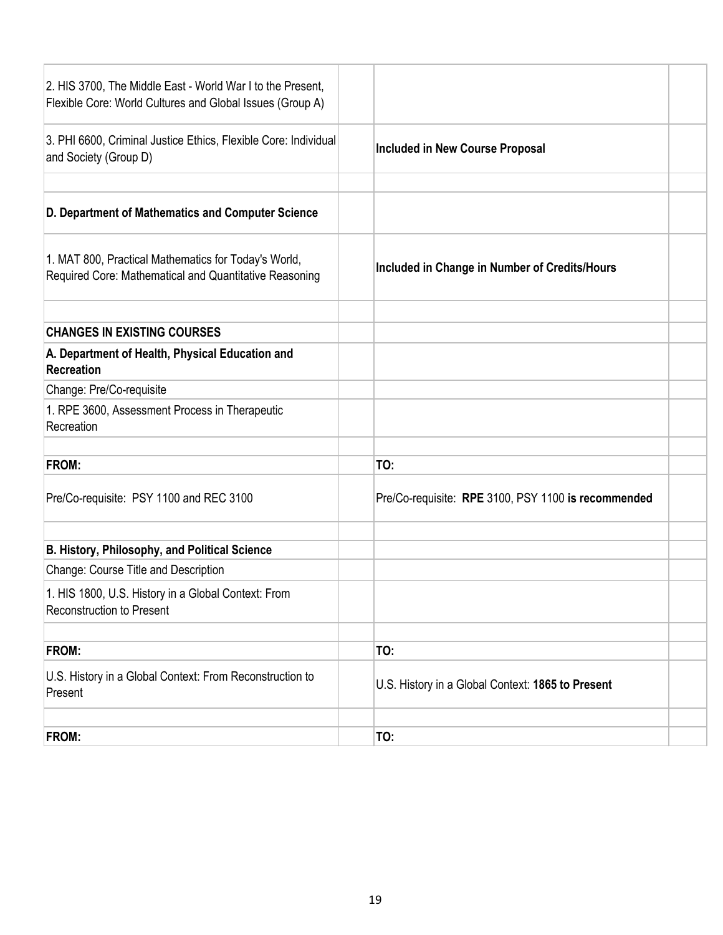| 2. HIS 3700, The Middle East - World War I to the Present,<br>Flexible Core: World Cultures and Global Issues (Group A) |                                                     |
|-------------------------------------------------------------------------------------------------------------------------|-----------------------------------------------------|
| 3. PHI 6600, Criminal Justice Ethics, Flexible Core: Individual<br>and Society (Group D)                                | <b>Included in New Course Proposal</b>              |
| D. Department of Mathematics and Computer Science                                                                       |                                                     |
| 1. MAT 800, Practical Mathematics for Today's World,<br>Required Core: Mathematical and Quantitative Reasoning          | Included in Change in Number of Credits/Hours       |
| <b>CHANGES IN EXISTING COURSES</b>                                                                                      |                                                     |
| A. Department of Health, Physical Education and<br><b>Recreation</b>                                                    |                                                     |
| Change: Pre/Co-requisite                                                                                                |                                                     |
| 1. RPE 3600, Assessment Process in Therapeutic<br>Recreation                                                            |                                                     |
| FROM:                                                                                                                   | TO:                                                 |
| Pre/Co-requisite: PSY 1100 and REC 3100                                                                                 | Pre/Co-requisite: RPE 3100, PSY 1100 is recommended |
| B. History, Philosophy, and Political Science                                                                           |                                                     |
| Change: Course Title and Description                                                                                    |                                                     |
| 1. HIS 1800, U.S. History in a Global Context: From<br><b>Reconstruction to Present</b>                                 |                                                     |
|                                                                                                                         |                                                     |
| FROM:                                                                                                                   | TO:                                                 |
| U.S. History in a Global Context: From Reconstruction to<br>Present                                                     | U.S. History in a Global Context: 1865 to Present   |
| FROM:                                                                                                                   | TO:                                                 |
|                                                                                                                         |                                                     |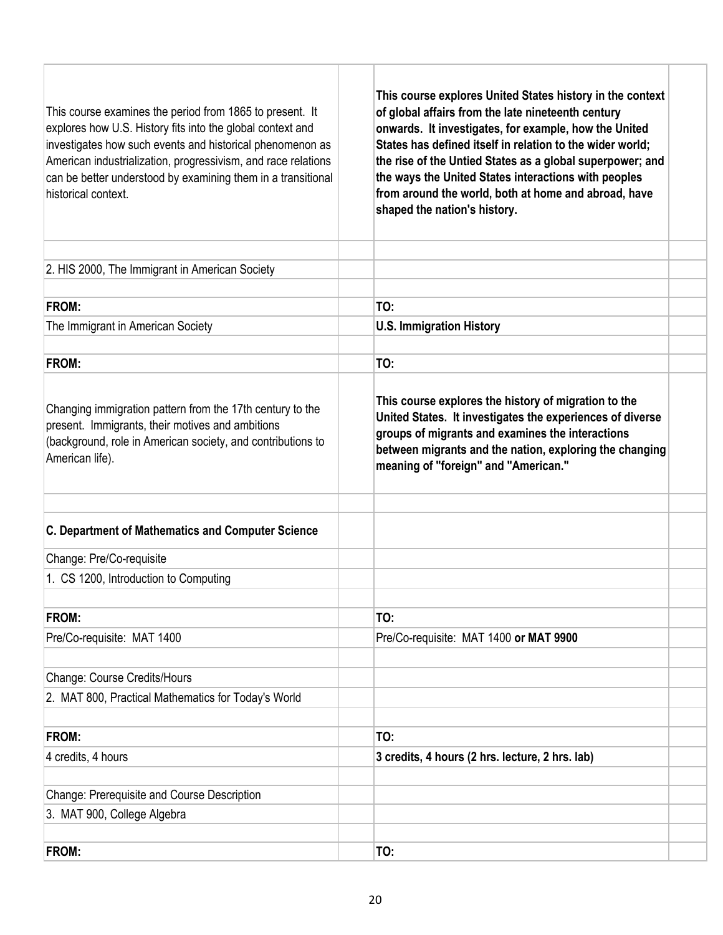| This course examines the period from 1865 to present. It<br>explores how U.S. History fits into the global context and<br>investigates how such events and historical phenomenon as<br>American industrialization, progressivism, and race relations<br>can be better understood by examining them in a transitional<br>historical context. | This course explores United States history in the context<br>of global affairs from the late nineteenth century<br>onwards. It investigates, for example, how the United<br>States has defined itself in relation to the wider world;<br>the rise of the Untied States as a global superpower; and<br>the ways the United States interactions with peoples<br>from around the world, both at home and abroad, have<br>shaped the nation's history. |
|---------------------------------------------------------------------------------------------------------------------------------------------------------------------------------------------------------------------------------------------------------------------------------------------------------------------------------------------|----------------------------------------------------------------------------------------------------------------------------------------------------------------------------------------------------------------------------------------------------------------------------------------------------------------------------------------------------------------------------------------------------------------------------------------------------|
| 2. HIS 2000, The Immigrant in American Society                                                                                                                                                                                                                                                                                              |                                                                                                                                                                                                                                                                                                                                                                                                                                                    |
| <b>FROM:</b>                                                                                                                                                                                                                                                                                                                                | TO:                                                                                                                                                                                                                                                                                                                                                                                                                                                |
| The Immigrant in American Society                                                                                                                                                                                                                                                                                                           | <b>U.S. Immigration History</b>                                                                                                                                                                                                                                                                                                                                                                                                                    |
|                                                                                                                                                                                                                                                                                                                                             |                                                                                                                                                                                                                                                                                                                                                                                                                                                    |
| <b>FROM:</b>                                                                                                                                                                                                                                                                                                                                | TO:                                                                                                                                                                                                                                                                                                                                                                                                                                                |
| Changing immigration pattern from the 17th century to the<br>present. Immigrants, their motives and ambitions<br>(background, role in American society, and contributions to<br>American life).                                                                                                                                             | This course explores the history of migration to the<br>United States. It investigates the experiences of diverse<br>groups of migrants and examines the interactions<br>between migrants and the nation, exploring the changing<br>meaning of "foreign" and "American."                                                                                                                                                                           |
| C. Department of Mathematics and Computer Science                                                                                                                                                                                                                                                                                           |                                                                                                                                                                                                                                                                                                                                                                                                                                                    |
| Change: Pre/Co-requisite                                                                                                                                                                                                                                                                                                                    |                                                                                                                                                                                                                                                                                                                                                                                                                                                    |
| 1. CS 1200, Introduction to Computing                                                                                                                                                                                                                                                                                                       |                                                                                                                                                                                                                                                                                                                                                                                                                                                    |
|                                                                                                                                                                                                                                                                                                                                             |                                                                                                                                                                                                                                                                                                                                                                                                                                                    |
| <b>FROM:</b>                                                                                                                                                                                                                                                                                                                                | TO:                                                                                                                                                                                                                                                                                                                                                                                                                                                |
| Pre/Co-requisite: MAT 1400                                                                                                                                                                                                                                                                                                                  | Pre/Co-requisite: MAT 1400 or MAT 9900                                                                                                                                                                                                                                                                                                                                                                                                             |
| Change: Course Credits/Hours                                                                                                                                                                                                                                                                                                                |                                                                                                                                                                                                                                                                                                                                                                                                                                                    |
| 2. MAT 800, Practical Mathematics for Today's World                                                                                                                                                                                                                                                                                         |                                                                                                                                                                                                                                                                                                                                                                                                                                                    |
|                                                                                                                                                                                                                                                                                                                                             |                                                                                                                                                                                                                                                                                                                                                                                                                                                    |
| <b>FROM:</b>                                                                                                                                                                                                                                                                                                                                | TO:                                                                                                                                                                                                                                                                                                                                                                                                                                                |
| 4 credits, 4 hours                                                                                                                                                                                                                                                                                                                          | 3 credits, 4 hours (2 hrs. lecture, 2 hrs. lab)                                                                                                                                                                                                                                                                                                                                                                                                    |
| Change: Prerequisite and Course Description                                                                                                                                                                                                                                                                                                 |                                                                                                                                                                                                                                                                                                                                                                                                                                                    |
| 3. MAT 900, College Algebra                                                                                                                                                                                                                                                                                                                 |                                                                                                                                                                                                                                                                                                                                                                                                                                                    |
|                                                                                                                                                                                                                                                                                                                                             |                                                                                                                                                                                                                                                                                                                                                                                                                                                    |
| <b>FROM:</b>                                                                                                                                                                                                                                                                                                                                | TO:                                                                                                                                                                                                                                                                                                                                                                                                                                                |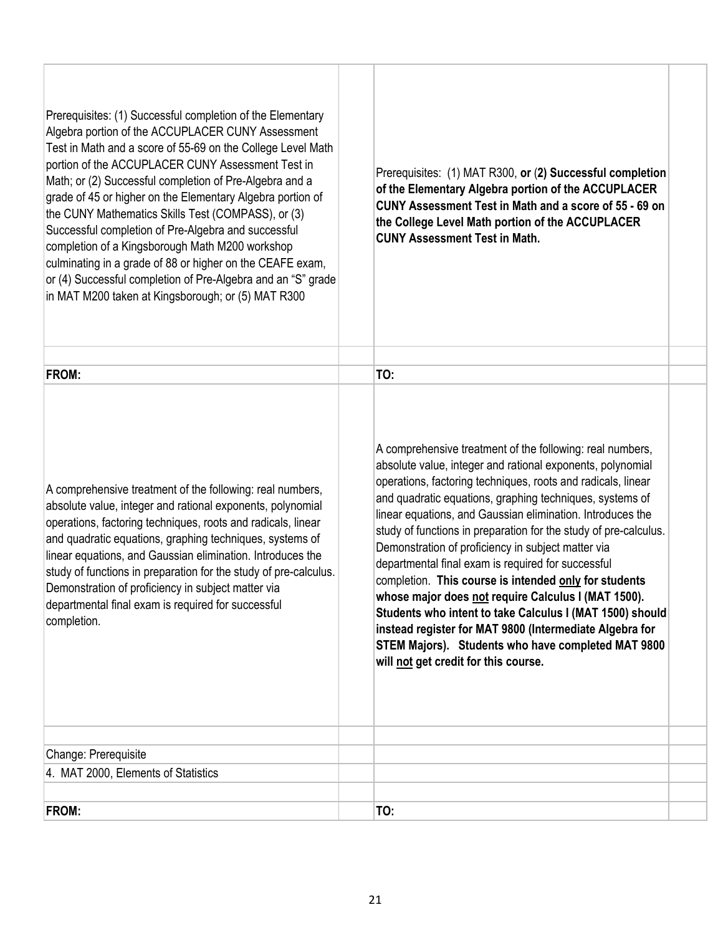| Prerequisites: (1) Successful completion of the Elementary<br>Algebra portion of the ACCUPLACER CUNY Assessment<br>Test in Math and a score of 55-69 on the College Level Math<br>portion of the ACCUPLACER CUNY Assessment Test in<br>Math; or (2) Successful completion of Pre-Algebra and a<br>grade of 45 or higher on the Elementary Algebra portion of<br>the CUNY Mathematics Skills Test (COMPASS), or (3)<br>Successful completion of Pre-Algebra and successful<br>completion of a Kingsborough Math M200 workshop<br>culminating in a grade of 88 or higher on the CEAFE exam,<br>or (4) Successful completion of Pre-Algebra and an "S" grade<br>in MAT M200 taken at Kingsborough; or (5) MAT R300 | Prerequisites: (1) MAT R300, or (2) Successful completion<br>of the Elementary Algebra portion of the ACCUPLACER<br>CUNY Assessment Test in Math and a score of 55 - 69 on<br>the College Level Math portion of the ACCUPLACER<br><b>CUNY Assessment Test in Math.</b>                                                                                                                                                                                                                                                                                                                                                                                                                                                                                                                                                                 |
|-----------------------------------------------------------------------------------------------------------------------------------------------------------------------------------------------------------------------------------------------------------------------------------------------------------------------------------------------------------------------------------------------------------------------------------------------------------------------------------------------------------------------------------------------------------------------------------------------------------------------------------------------------------------------------------------------------------------|----------------------------------------------------------------------------------------------------------------------------------------------------------------------------------------------------------------------------------------------------------------------------------------------------------------------------------------------------------------------------------------------------------------------------------------------------------------------------------------------------------------------------------------------------------------------------------------------------------------------------------------------------------------------------------------------------------------------------------------------------------------------------------------------------------------------------------------|
| FROM:                                                                                                                                                                                                                                                                                                                                                                                                                                                                                                                                                                                                                                                                                                           | TO:                                                                                                                                                                                                                                                                                                                                                                                                                                                                                                                                                                                                                                                                                                                                                                                                                                    |
| A comprehensive treatment of the following: real numbers,<br>absolute value, integer and rational exponents, polynomial<br>operations, factoring techniques, roots and radicals, linear<br>and quadratic equations, graphing techniques, systems of<br>linear equations, and Gaussian elimination. Introduces the<br>study of functions in preparation for the study of pre-calculus.<br>Demonstration of proficiency in subject matter via<br>departmental final exam is required for successful<br>completion.                                                                                                                                                                                                | A comprehensive treatment of the following: real numbers,<br>absolute value, integer and rational exponents, polynomial<br>operations, factoring techniques, roots and radicals, linear<br>and quadratic equations, graphing techniques, systems of<br>linear equations, and Gaussian elimination. Introduces the<br>study of functions in preparation for the study of pre-calculus.<br>Demonstration of proficiency in subject matter via<br>departmental final exam is required for successful<br>completion. This course is intended only for students<br>whose major does not require Calculus I (MAT 1500).<br>Students who intent to take Calculus I (MAT 1500) should<br>instead register for MAT 9800 (Intermediate Algebra for<br>STEM Majors). Students who have completed MAT 9800<br>will not get credit for this course. |
| Change: Prerequisite                                                                                                                                                                                                                                                                                                                                                                                                                                                                                                                                                                                                                                                                                            |                                                                                                                                                                                                                                                                                                                                                                                                                                                                                                                                                                                                                                                                                                                                                                                                                                        |
| 4. MAT 2000, Elements of Statistics                                                                                                                                                                                                                                                                                                                                                                                                                                                                                                                                                                                                                                                                             |                                                                                                                                                                                                                                                                                                                                                                                                                                                                                                                                                                                                                                                                                                                                                                                                                                        |
| FROM:                                                                                                                                                                                                                                                                                                                                                                                                                                                                                                                                                                                                                                                                                                           | TO:                                                                                                                                                                                                                                                                                                                                                                                                                                                                                                                                                                                                                                                                                                                                                                                                                                    |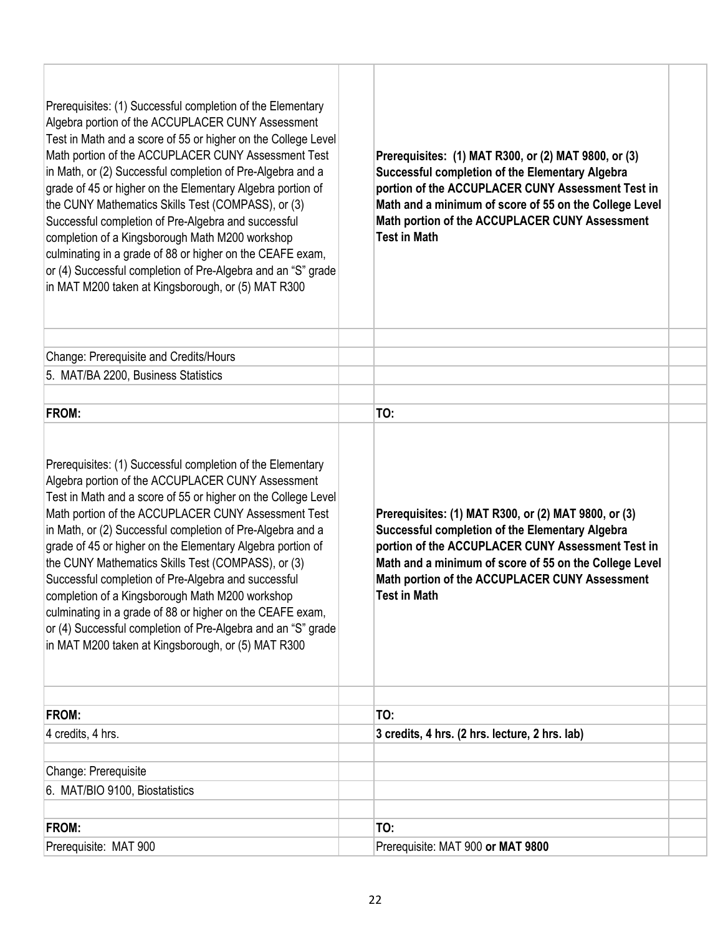| portion of the ACCUPLACER CUNY Assessment Test in<br>grade of 45 or higher on the Elementary Algebra portion of<br>the CUNY Mathematics Skills Test (COMPASS), or (3)<br>Math and a minimum of score of 55 on the College Level<br>Math portion of the ACCUPLACER CUNY Assessment<br>Successful completion of Pre-Algebra and successful<br><b>Test in Math</b><br>completion of a Kingsborough Math M200 workshop<br>culminating in a grade of 88 or higher on the CEAFE exam,<br>or (4) Successful completion of Pre-Algebra and an "S" grade<br>in MAT M200 taken at Kingsborough, or (5) MAT R300                                                                                                                                                                                                                                                                                                                                                                                                                     |
|---------------------------------------------------------------------------------------------------------------------------------------------------------------------------------------------------------------------------------------------------------------------------------------------------------------------------------------------------------------------------------------------------------------------------------------------------------------------------------------------------------------------------------------------------------------------------------------------------------------------------------------------------------------------------------------------------------------------------------------------------------------------------------------------------------------------------------------------------------------------------------------------------------------------------------------------------------------------------------------------------------------------------|
| Change: Prerequisite and Credits/Hours                                                                                                                                                                                                                                                                                                                                                                                                                                                                                                                                                                                                                                                                                                                                                                                                                                                                                                                                                                                    |
| 5. MAT/BA 2200, Business Statistics                                                                                                                                                                                                                                                                                                                                                                                                                                                                                                                                                                                                                                                                                                                                                                                                                                                                                                                                                                                       |
|                                                                                                                                                                                                                                                                                                                                                                                                                                                                                                                                                                                                                                                                                                                                                                                                                                                                                                                                                                                                                           |
| FROM:<br>TO:                                                                                                                                                                                                                                                                                                                                                                                                                                                                                                                                                                                                                                                                                                                                                                                                                                                                                                                                                                                                              |
| Prerequisites: (1) Successful completion of the Elementary<br>Algebra portion of the ACCUPLACER CUNY Assessment<br>Test in Math and a score of 55 or higher on the College Level<br>Math portion of the ACCUPLACER CUNY Assessment Test<br>Prerequisites: (1) MAT R300, or (2) MAT 9800, or (3)<br>in Math, or (2) Successful completion of Pre-Algebra and a<br>Successful completion of the Elementary Algebra<br>grade of 45 or higher on the Elementary Algebra portion of<br>portion of the ACCUPLACER CUNY Assessment Test in<br>the CUNY Mathematics Skills Test (COMPASS), or (3)<br>Math and a minimum of score of 55 on the College Level<br>Math portion of the ACCUPLACER CUNY Assessment<br>Successful completion of Pre-Algebra and successful<br>completion of a Kingsborough Math M200 workshop<br><b>Test in Math</b><br>culminating in a grade of 88 or higher on the CEAFE exam,<br>or (4) Successful completion of Pre-Algebra and an "S" grade<br>in MAT M200 taken at Kingsborough, or (5) MAT R300 |
| FROM:<br>TO:                                                                                                                                                                                                                                                                                                                                                                                                                                                                                                                                                                                                                                                                                                                                                                                                                                                                                                                                                                                                              |
| 4 credits, 4 hrs.<br>3 credits, 4 hrs. (2 hrs. lecture, 2 hrs. lab)                                                                                                                                                                                                                                                                                                                                                                                                                                                                                                                                                                                                                                                                                                                                                                                                                                                                                                                                                       |
|                                                                                                                                                                                                                                                                                                                                                                                                                                                                                                                                                                                                                                                                                                                                                                                                                                                                                                                                                                                                                           |
| Change: Prerequisite                                                                                                                                                                                                                                                                                                                                                                                                                                                                                                                                                                                                                                                                                                                                                                                                                                                                                                                                                                                                      |
| 6. MAT/BIO 9100, Biostatistics                                                                                                                                                                                                                                                                                                                                                                                                                                                                                                                                                                                                                                                                                                                                                                                                                                                                                                                                                                                            |
| FROM:<br>TO:                                                                                                                                                                                                                                                                                                                                                                                                                                                                                                                                                                                                                                                                                                                                                                                                                                                                                                                                                                                                              |
| Prerequisite: MAT 900<br>Prerequisite: MAT 900 or MAT 9800                                                                                                                                                                                                                                                                                                                                                                                                                                                                                                                                                                                                                                                                                                                                                                                                                                                                                                                                                                |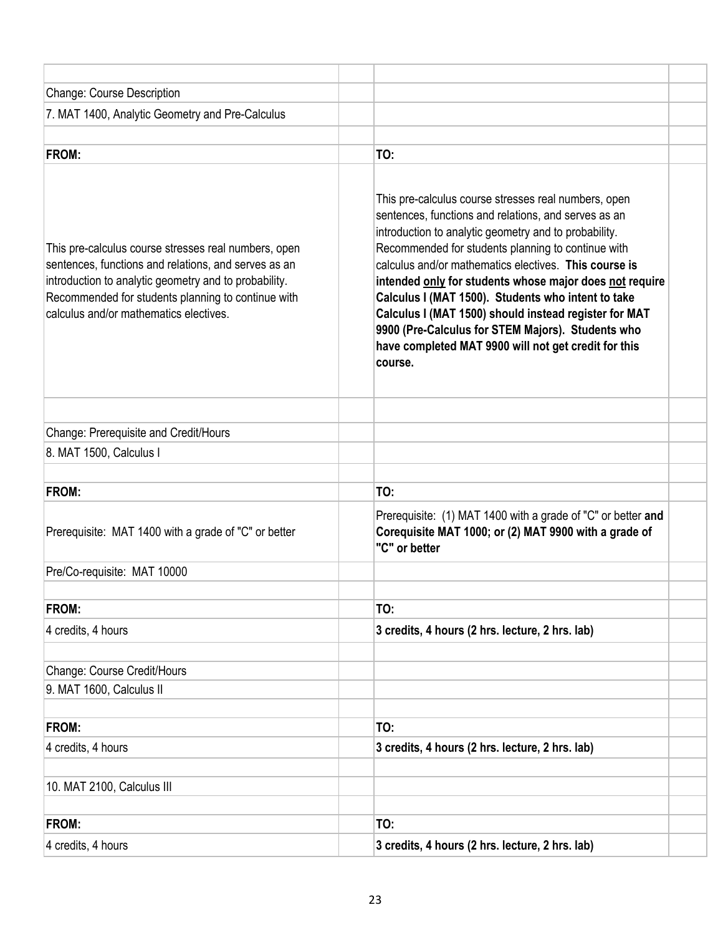| Change: Course Description                                                                                                                                                                                                                                            |                                                                                                                                                                                                                                                                                                                                                                                                                                                                                                                                                                                        |
|-----------------------------------------------------------------------------------------------------------------------------------------------------------------------------------------------------------------------------------------------------------------------|----------------------------------------------------------------------------------------------------------------------------------------------------------------------------------------------------------------------------------------------------------------------------------------------------------------------------------------------------------------------------------------------------------------------------------------------------------------------------------------------------------------------------------------------------------------------------------------|
| 7. MAT 1400, Analytic Geometry and Pre-Calculus                                                                                                                                                                                                                       |                                                                                                                                                                                                                                                                                                                                                                                                                                                                                                                                                                                        |
| <b>FROM:</b>                                                                                                                                                                                                                                                          | TO:                                                                                                                                                                                                                                                                                                                                                                                                                                                                                                                                                                                    |
| This pre-calculus course stresses real numbers, open<br>sentences, functions and relations, and serves as an<br>introduction to analytic geometry and to probability.<br>Recommended for students planning to continue with<br>calculus and/or mathematics electives. | This pre-calculus course stresses real numbers, open<br>sentences, functions and relations, and serves as an<br>introduction to analytic geometry and to probability.<br>Recommended for students planning to continue with<br>calculus and/or mathematics electives. This course is<br>intended only for students whose major does not require<br>Calculus I (MAT 1500). Students who intent to take<br>Calculus I (MAT 1500) should instead register for MAT<br>9900 (Pre-Calculus for STEM Majors). Students who<br>have completed MAT 9900 will not get credit for this<br>course. |
| Change: Prerequisite and Credit/Hours                                                                                                                                                                                                                                 |                                                                                                                                                                                                                                                                                                                                                                                                                                                                                                                                                                                        |
| 8. MAT 1500, Calculus I                                                                                                                                                                                                                                               |                                                                                                                                                                                                                                                                                                                                                                                                                                                                                                                                                                                        |
|                                                                                                                                                                                                                                                                       |                                                                                                                                                                                                                                                                                                                                                                                                                                                                                                                                                                                        |
| <b>FROM:</b>                                                                                                                                                                                                                                                          | TO:                                                                                                                                                                                                                                                                                                                                                                                                                                                                                                                                                                                    |
| Prerequisite: MAT 1400 with a grade of "C" or better                                                                                                                                                                                                                  | Prerequisite: (1) MAT 1400 with a grade of "C" or better and<br>Corequisite MAT 1000; or (2) MAT 9900 with a grade of<br>"C" or better                                                                                                                                                                                                                                                                                                                                                                                                                                                 |
| Pre/Co-requisite: MAT 10000                                                                                                                                                                                                                                           |                                                                                                                                                                                                                                                                                                                                                                                                                                                                                                                                                                                        |
|                                                                                                                                                                                                                                                                       |                                                                                                                                                                                                                                                                                                                                                                                                                                                                                                                                                                                        |
| FROM:                                                                                                                                                                                                                                                                 | TO:                                                                                                                                                                                                                                                                                                                                                                                                                                                                                                                                                                                    |
| 4 credits, 4 hours                                                                                                                                                                                                                                                    | 3 credits, 4 hours (2 hrs. lecture, 2 hrs. lab)                                                                                                                                                                                                                                                                                                                                                                                                                                                                                                                                        |
| Change: Course Credit/Hours                                                                                                                                                                                                                                           |                                                                                                                                                                                                                                                                                                                                                                                                                                                                                                                                                                                        |
| 9. MAT 1600, Calculus II                                                                                                                                                                                                                                              |                                                                                                                                                                                                                                                                                                                                                                                                                                                                                                                                                                                        |
|                                                                                                                                                                                                                                                                       |                                                                                                                                                                                                                                                                                                                                                                                                                                                                                                                                                                                        |
| FROM:                                                                                                                                                                                                                                                                 | TO:                                                                                                                                                                                                                                                                                                                                                                                                                                                                                                                                                                                    |
| 4 credits, 4 hours                                                                                                                                                                                                                                                    | 3 credits, 4 hours (2 hrs. lecture, 2 hrs. lab)                                                                                                                                                                                                                                                                                                                                                                                                                                                                                                                                        |
| 10. MAT 2100, Calculus III                                                                                                                                                                                                                                            |                                                                                                                                                                                                                                                                                                                                                                                                                                                                                                                                                                                        |
| FROM:                                                                                                                                                                                                                                                                 | TO:                                                                                                                                                                                                                                                                                                                                                                                                                                                                                                                                                                                    |
| 4 credits, 4 hours                                                                                                                                                                                                                                                    | 3 credits, 4 hours (2 hrs. lecture, 2 hrs. lab)                                                                                                                                                                                                                                                                                                                                                                                                                                                                                                                                        |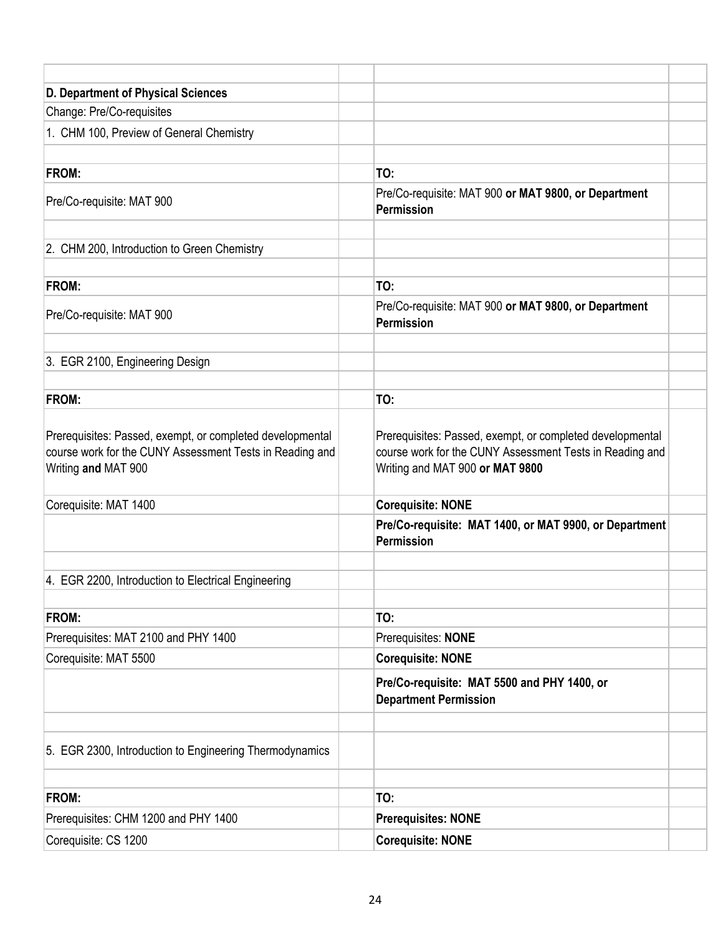| D. Department of Physical Sciences                                                                                                           |                                                                                                                                                          |
|----------------------------------------------------------------------------------------------------------------------------------------------|----------------------------------------------------------------------------------------------------------------------------------------------------------|
| Change: Pre/Co-requisites                                                                                                                    |                                                                                                                                                          |
| 1. CHM 100, Preview of General Chemistry                                                                                                     |                                                                                                                                                          |
|                                                                                                                                              |                                                                                                                                                          |
| FROM:                                                                                                                                        | TO:                                                                                                                                                      |
| Pre/Co-requisite: MAT 900                                                                                                                    | Pre/Co-requisite: MAT 900 or MAT 9800, or Department<br>Permission                                                                                       |
| 2. CHM 200, Introduction to Green Chemistry                                                                                                  |                                                                                                                                                          |
| FROM:                                                                                                                                        | TO:                                                                                                                                                      |
| Pre/Co-requisite: MAT 900                                                                                                                    | Pre/Co-requisite: MAT 900 or MAT 9800, or Department<br>Permission                                                                                       |
| 3. EGR 2100, Engineering Design                                                                                                              |                                                                                                                                                          |
| FROM:                                                                                                                                        | TO:                                                                                                                                                      |
| Prerequisites: Passed, exempt, or completed developmental<br>course work for the CUNY Assessment Tests in Reading and<br>Writing and MAT 900 | Prerequisites: Passed, exempt, or completed developmental<br>course work for the CUNY Assessment Tests in Reading and<br>Writing and MAT 900 or MAT 9800 |
| Corequisite: MAT 1400                                                                                                                        | <b>Corequisite: NONE</b>                                                                                                                                 |
|                                                                                                                                              | Pre/Co-requisite: MAT 1400, or MAT 9900, or Department<br><b>Permission</b>                                                                              |
| 4. EGR 2200, Introduction to Electrical Engineering                                                                                          |                                                                                                                                                          |
| FROM:                                                                                                                                        | TO:                                                                                                                                                      |
| Prerequisites: MAT 2100 and PHY 1400                                                                                                         | Prerequisites: NONE                                                                                                                                      |
| Corequisite: MAT 5500                                                                                                                        | <b>Corequisite: NONE</b>                                                                                                                                 |
|                                                                                                                                              | Pre/Co-requisite: MAT 5500 and PHY 1400, or<br><b>Department Permission</b>                                                                              |
|                                                                                                                                              |                                                                                                                                                          |
| 5. EGR 2300, Introduction to Engineering Thermodynamics                                                                                      |                                                                                                                                                          |
| FROM:                                                                                                                                        | TO:                                                                                                                                                      |
| Prerequisites: CHM 1200 and PHY 1400                                                                                                         | <b>Prerequisites: NONE</b>                                                                                                                               |
| Corequisite: CS 1200                                                                                                                         | <b>Corequisite: NONE</b>                                                                                                                                 |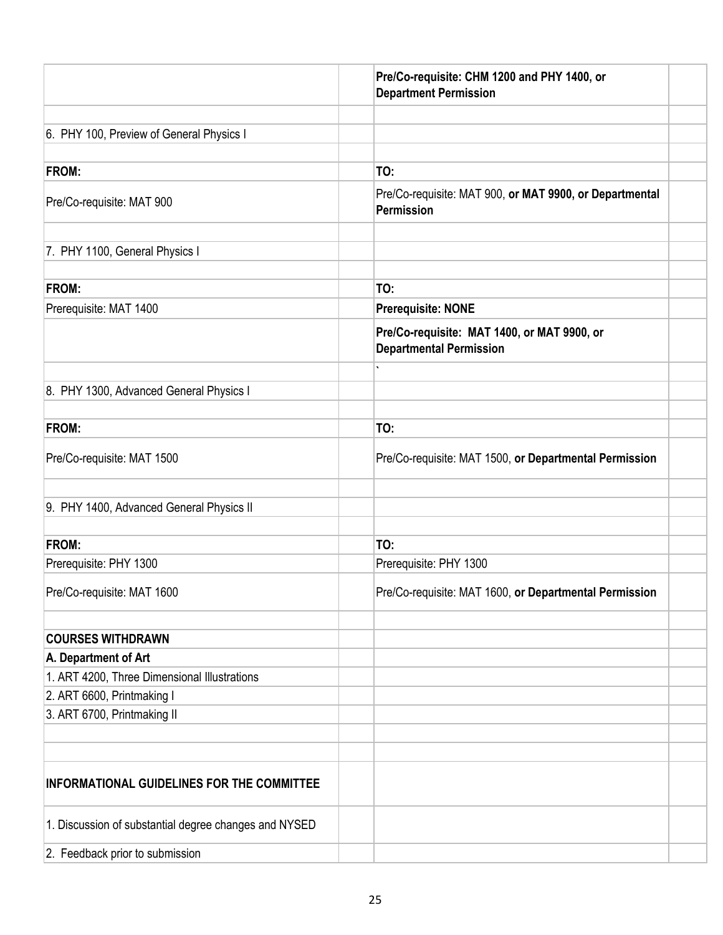|                                                       | Pre/Co-requisite: CHM 1200 and PHY 1400, or<br><b>Department Permission</b>   |  |
|-------------------------------------------------------|-------------------------------------------------------------------------------|--|
| 6. PHY 100, Preview of General Physics I              |                                                                               |  |
| <b>FROM:</b>                                          | TO:                                                                           |  |
| Pre/Co-requisite: MAT 900                             | Pre/Co-requisite: MAT 900, or MAT 9900, or Departmental<br><b>Permission</b>  |  |
| 7. PHY 1100, General Physics I                        |                                                                               |  |
| <b>FROM:</b>                                          | TO:                                                                           |  |
| Prerequisite: MAT 1400                                | <b>Prerequisite: NONE</b>                                                     |  |
|                                                       | Pre/Co-requisite: MAT 1400, or MAT 9900, or<br><b>Departmental Permission</b> |  |
| 8. PHY 1300, Advanced General Physics I               |                                                                               |  |
| <b>FROM:</b>                                          | TO:                                                                           |  |
| Pre/Co-requisite: MAT 1500                            | Pre/Co-requisite: MAT 1500, or Departmental Permission                        |  |
| 9. PHY 1400, Advanced General Physics II              |                                                                               |  |
| <b>FROM:</b>                                          | TO:                                                                           |  |
| Prerequisite: PHY 1300                                | Prerequisite: PHY 1300                                                        |  |
| Pre/Co-requisite: MAT 1600                            | Pre/Co-requisite: MAT 1600, or Departmental Permission                        |  |
| <b>COURSES WITHDRAWN</b>                              |                                                                               |  |
| A. Department of Art                                  |                                                                               |  |
| 1. ART 4200, Three Dimensional Illustrations          |                                                                               |  |
| 2. ART 6600, Printmaking I                            |                                                                               |  |
| 3. ART 6700, Printmaking II                           |                                                                               |  |
| INFORMATIONAL GUIDELINES FOR THE COMMITTEE            |                                                                               |  |
| 1. Discussion of substantial degree changes and NYSED |                                                                               |  |
| 2. Feedback prior to submission                       |                                                                               |  |